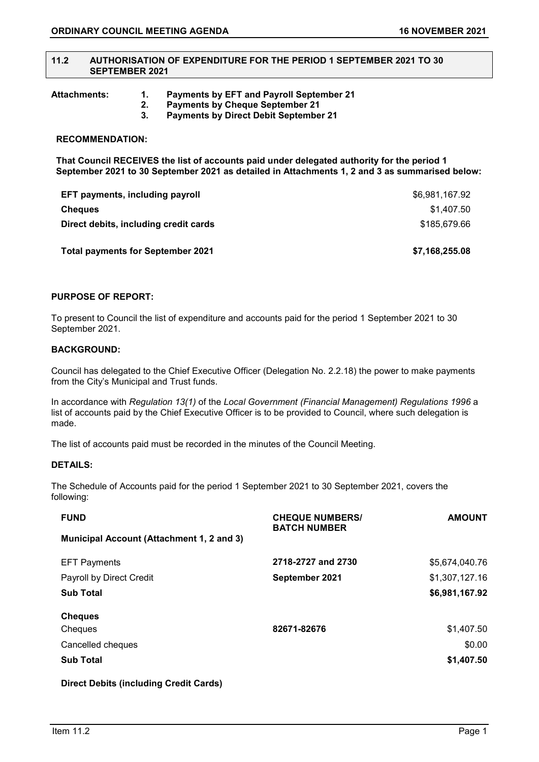#### **11.2 AUTHORISATION OF EXPENDITURE FOR THE PERIOD 1 SEPTEMBER 2021 TO 30 SEPTEMBER 2021**

**Attachments: 1. Payments by EFT and Payroll September 21** 

- **2. Payments by Cheque September 21 3. Payments by Direct Debit September 21**
- 

### **RECOMMENDATION:**

**That Council RECEIVES the list of accounts paid under delegated authority for the period 1 September 2021 to 30 September 2021 as detailed in Attachments 1, 2 and 3 as summarised below:**

| EFT payments, including payroll          | \$6,981,167.92 |
|------------------------------------------|----------------|
| <b>Cheques</b>                           | \$1.407.50     |
| Direct debits, including credit cards    | \$185,679.66   |
| <b>Total payments for September 2021</b> | \$7,168,255.08 |

# **PURPOSE OF REPORT:**

To present to Council the list of expenditure and accounts paid for the period 1 September 2021 to 30 September 2021.

### **BACKGROUND:**

Council has delegated to the Chief Executive Officer (Delegation No. 2.2.18) the power to make payments from the City's Municipal and Trust funds.

In accordance with *Regulation 13(1)* of the *Local Government (Financial Management) Regulations 1996* a list of accounts paid by the Chief Executive Officer is to be provided to Council, where such delegation is made.

The list of accounts paid must be recorded in the minutes of the Council Meeting.

#### **DETAILS:**

The Schedule of Accounts paid for the period 1 September 2021 to 30 September 2021, covers the following:

| <b>FUND</b>                                      | <b>CHEQUE NUMBERS/</b><br><b>BATCH NUMBER</b> | <b>AMOUNT</b>  |
|--------------------------------------------------|-----------------------------------------------|----------------|
| <b>Municipal Account (Attachment 1, 2 and 3)</b> |                                               |                |
| <b>EFT Payments</b>                              | 2718-2727 and 2730                            | \$5,674,040.76 |
| Payroll by Direct Credit                         | September 2021                                | \$1,307,127.16 |
| <b>Sub Total</b>                                 |                                               | \$6,981,167.92 |
| <b>Cheques</b>                                   |                                               |                |
| Cheques                                          | 82671-82676                                   | \$1,407.50     |
| Cancelled cheques                                |                                               | \$0.00         |
| <b>Sub Total</b>                                 |                                               | \$1,407.50     |

**Direct Debits (including Credit Cards)**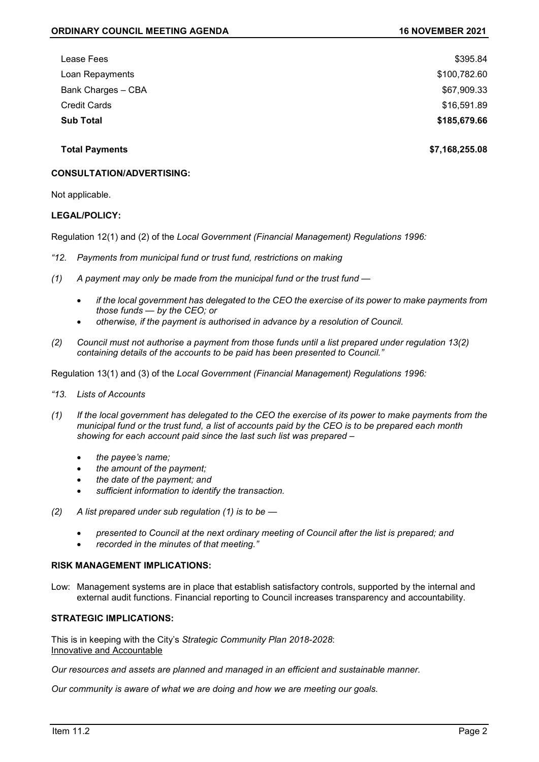| \$395.84     |
|--------------|
| \$100,782.60 |
| \$67,909.33  |
| \$16,591.89  |
| \$185,679.66 |
|              |

**Total Payments \$7,168,255.08**

### **CONSULTATION/ADVERTISING:**

Not applicable.

#### **LEGAL/POLICY:**

Regulation 12(1) and (2) of the *Local Government (Financial Management) Regulations 1996:*

- *"12. Payments from municipal fund or trust fund, restrictions on making*
- *(1) A payment may only be made from the municipal fund or the trust fund —*
	- *if the local government has delegated to the CEO the exercise of its power to make payments from those funds — by the CEO; or*
	- *otherwise, if the payment is authorised in advance by a resolution of Council.*
- *(2) Council must not authorise a payment from those funds until a list prepared under regulation 13(2) containing details of the accounts to be paid has been presented to Council."*

Regulation 13(1) and (3) of the *Local Government (Financial Management) Regulations 1996:*

- *"13. Lists of Accounts*
- *(1) If the local government has delegated to the CEO the exercise of its power to make payments from the municipal fund or the trust fund, a list of accounts paid by the CEO is to be prepared each month showing for each account paid since the last such list was prepared –*
	- *the payee's name;*
	- *the amount of the payment;*
	- *the date of the payment; and*
	- *sufficient information to identify the transaction.*
- *(2) A list prepared under sub regulation (1) is to be —*
	- *presented to Council at the next ordinary meeting of Council after the list is prepared; and*
	- *recorded in the minutes of that meeting."*

# **RISK MANAGEMENT IMPLICATIONS:**

Low: Management systems are in place that establish satisfactory controls, supported by the internal and external audit functions. Financial reporting to Council increases transparency and accountability.

# **STRATEGIC IMPLICATIONS:**

This is in keeping with the City's *Strategic Community Plan 2018-2028*: Innovative and Accountable

*Our resources and assets are planned and managed in an efficient and sustainable manner.*

*Our community is aware of what we are doing and how we are meeting our goals.*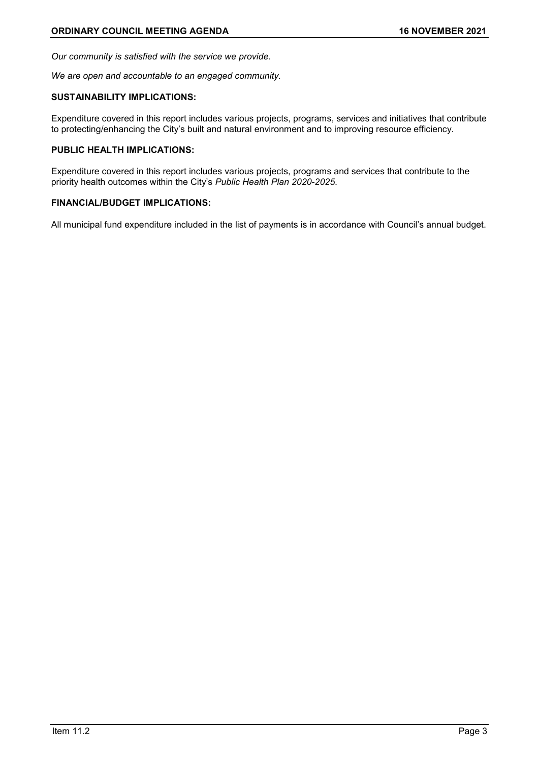*Our community is satisfied with the service we provide.*

*We are open and accountable to an engaged community.*

#### **SUSTAINABILITY IMPLICATIONS:**

Expenditure covered in this report includes various projects, programs, services and initiatives that contribute to protecting/enhancing the City's built and natural environment and to improving resource efficiency.

## **PUBLIC HEALTH IMPLICATIONS:**

Expenditure covered in this report includes various projects, programs and services that contribute to the priority health outcomes within the City's *Public Health Plan 2020-2025*.

# **FINANCIAL/BUDGET IMPLICATIONS:**

All municipal fund expenditure included in the list of payments is in accordance with Council's annual budget.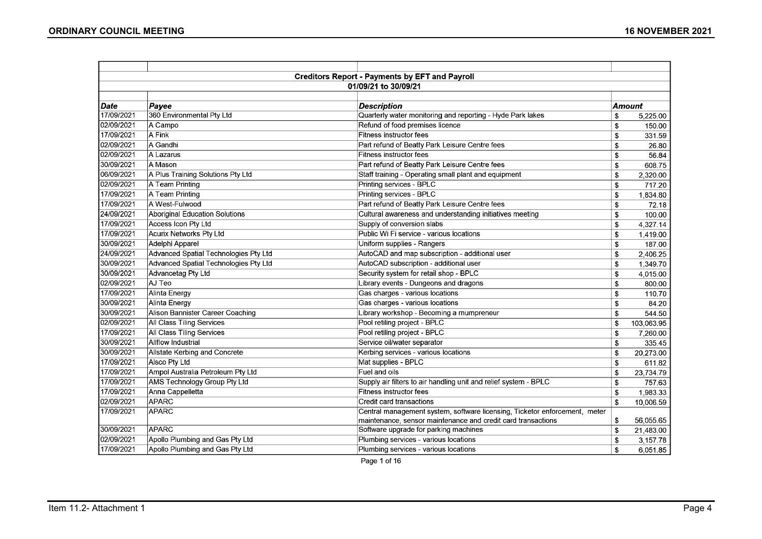|             |                                       | <b>Creditors Report - Payments by EFT and Payroll</b>                      |        |            |  |  |  |
|-------------|---------------------------------------|----------------------------------------------------------------------------|--------|------------|--|--|--|
|             |                                       | 01/09/21 to 30/09/21                                                       |        |            |  |  |  |
|             |                                       |                                                                            |        |            |  |  |  |
| <i>Date</i> | Payee                                 | <b>Description</b>                                                         | Amount |            |  |  |  |
| 17/09/2021  | 360 Environmental Pty Ltd             | Quarterly water monitoring and reporting - Hyde Park lakes                 | \$     | 5,225.00   |  |  |  |
| 02/09/2021  | A Campo                               | Refund of food premises licence                                            | \$     | 150.00     |  |  |  |
| 17/09/2021  | A Fink                                | <b>Fitness instructor fees</b>                                             | \$     | 331.59     |  |  |  |
| 02/09/2021  | A Gandhi                              | Part refund of Beatty Park Leisure Centre fees                             | \$     | 26.80      |  |  |  |
| 02/09/2021  | A Lazarus                             | Fitness instructor fees                                                    | \$     | 56.84      |  |  |  |
| 30/09/2021  | <b>A Mason</b>                        | Part refund of Beatty Park Leisure Centre fees                             | \$     | 608.75     |  |  |  |
| 06/09/2021  | A Plus Training Solutions Pty Ltd     | Staff training - Operating small plant and equipment                       | \$     | 2,320.00   |  |  |  |
| 02/09/2021  | A Team Printing                       | Printing services - BPLC                                                   | \$     | 717.20     |  |  |  |
| 17/09/2021  | A Team Printing                       | Printing services - BPLC                                                   | \$     | 1,834.80   |  |  |  |
| 17/09/2021  | A West-Fulwood                        | Part refund of Beatty Park Leisure Centre fees                             | \$     | 72.18      |  |  |  |
| 24/09/2021  | Aboriginal Education Solutions        | Cultural awareness and understanding initiatives meeting                   | \$     | 100.00     |  |  |  |
| 17/09/2021  | Access Icon Pty Ltd                   | Supply of conversion slabs                                                 | \$     | 4,327.14   |  |  |  |
| 17/09/2021  | Acurix Networks Pty Ltd               | Public Wi Fi service - various locations                                   | \$     | 1,419.00   |  |  |  |
| 30/09/2021  | Adelphi Apparel                       | Uniform supplies - Rangers                                                 | \$     | 187.00     |  |  |  |
| 24/09/2021  | Advanced Spatial Technologies Pty Ltd | AutoCAD and map subscription - additional user                             | \$     | 2,406.25   |  |  |  |
| 30/09/2021  | Advanced Spatial Technologies Pty Ltd | AutoCAD subscription - additional user                                     | \$     | 1,349.70   |  |  |  |
| 30/09/2021  | Advancetag Pty Ltd                    | Security system for retail shop - BPLC                                     | \$     | 4,015.00   |  |  |  |
| 02/09/2021  | AJ Teo                                | Library events - Dungeons and dragons                                      | \$     | 800.00     |  |  |  |
| 17/09/2021  | Alinta Energy                         | Gas charges - various locations                                            | \$     | 110.70     |  |  |  |
| 30/09/2021  | Alinta Energy                         | Gas charges - various locations                                            | \$     | 84.20      |  |  |  |
| 30/09/2021  | Alison Bannister Career Coaching      | Library workshop - Becoming a mumpreneur                                   | \$     | 544.50     |  |  |  |
| 02/09/2021  | All Class Tiling Services             | Pool retiling project - BPLC                                               | \$     | 103,063.95 |  |  |  |
| 17/09/2021  | All Class Tiling Services             | Pool retiling project - BPLC                                               | \$     | 7,260.00   |  |  |  |
| 30/09/2021  | Allflow Industrial                    | Service oil/water separator                                                | \$     | 335.45     |  |  |  |
| 30/09/2021  | Allstate Kerbing and Concrete         | Kerbing services - various locations                                       | \$     | 20,273.00  |  |  |  |
| 17/09/2021  | Alsco Pty Ltd                         | Mat supplies - BPLC                                                        | \$     | 611.82     |  |  |  |
| 17/09/2021  | Ampol Australia Petroleum Pty Ltd     | Fuel and oils                                                              | \$     | 23,734.79  |  |  |  |
| 17/09/2021  | AMS Technology Group Pty Ltd          | Supply air filters to air handling unit and relief system - BPLC           | \$     | 757.63     |  |  |  |
| 17/09/2021  | Anna Cappelletta                      | Fitness instructor fees                                                    | \$     | 1,983.33   |  |  |  |
| 02/09/2021  | <b>APARC</b>                          | Credit card transactions                                                   | \$     | 10,006.59  |  |  |  |
| 17/09/2021  | <b>APARC</b>                          | Central management system, software licensing, Ticketor enforcement, meter |        |            |  |  |  |
|             |                                       | maintenance, sensor maintenance and credit card transactions               | \$     | 56,055.65  |  |  |  |
| 30/09/2021  | APARC                                 | Software upgrade for parking machines                                      | \$     | 21,483.00  |  |  |  |
| 02/09/2021  | Apollo Plumbing and Gas Pty Ltd       | Plumbing services - various locations                                      | \$     | 3,157.78   |  |  |  |
| 17/09/2021  | Apollo Plumbing and Gas Pty Ltd       | Plumbing services - various locations                                      | \$     | 6,051.85   |  |  |  |

Page 1 of 16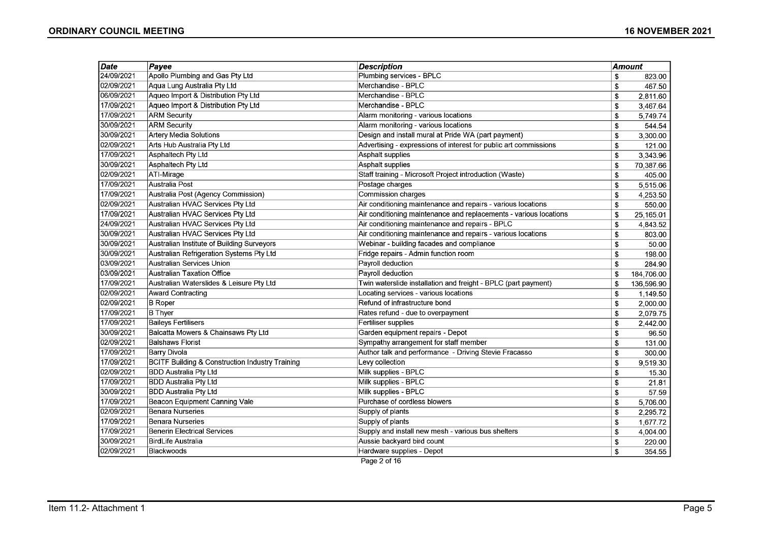| Date       | Payee                                                      | <b>Description</b>                                                | Amount        |            |
|------------|------------------------------------------------------------|-------------------------------------------------------------------|---------------|------------|
| 24/09/2021 | Apollo Plumbing and Gas Pty Ltd                            | Plumbing services - BPLC                                          | \$            | 823.00     |
| 02/09/2021 | Aqua Lung Australia Pty Ltd                                | Merchandise - BPLC                                                | \$            | 467.50     |
| 06/09/2021 | Aqueo Import & Distribution Pty Ltd                        | Merchandise - BPLC                                                | \$            | 2,811.60   |
| 17/09/2021 | Aqueo Import & Distribution Pty Ltd                        | Merchandise - BPLC                                                | \$            | 3,467.64   |
| 17/09/2021 | <b>ARM Security</b>                                        | Alarm monitoring - various locations                              | \$            | 5,749.74   |
| 30/09/2021 | <b>ARM Security</b>                                        | Alarm monitoring - various locations                              | \$            | 544.54     |
| 30/09/2021 | <b>Artery Media Solutions</b>                              | Design and install mural at Pride WA (part payment)               | \$            | 3,300.00   |
| 02/09/2021 | Arts Hub Australia Pty Ltd                                 | Advertising - expressions of interest for public art commissions  | \$            | 121.00     |
| 17/09/2021 | <b>Asphaltech Pty Ltd</b>                                  | <b>Asphalt supplies</b>                                           | \$            | 3,343.96   |
| 30/09/2021 | <b>Asphaltech Pty Ltd</b>                                  | <b>Asphalt supplies</b>                                           | \$            | 70,387.66  |
| 02/09/2021 | ATI-Mirage                                                 | Staff training - Microsoft Project introduction (Waste)           | \$            | 405.00     |
| 17/09/2021 | Australia Post                                             | Postage charges                                                   | \$            | 5,515.06   |
| 17/09/2021 | Australia Post (Agency Commission)                         | <b>Commission charges</b>                                         | \$            | 4,253.50   |
| 02/09/2021 | Australian HVAC Services Pty Ltd                           | Air conditioning maintenance and repairs - various locations      | \$            | 550.00     |
| 17/09/2021 | Australian HVAC Services Pty Ltd                           | Air conditioning maintenance and replacements - various locations | \$            | 25,165.01  |
| 24/09/2021 | Australian HVAC Services Pty Ltd                           | Air conditioning maintenance and repairs - BPLC                   | \$            | 4,843.52   |
| 30/09/2021 | Australian HVAC Services Pty Ltd                           | Air conditioning maintenance and repairs - various locations      | \$            | 803.00     |
| 30/09/2021 | Australian Institute of Building Surveyors                 | Webinar - building facades and compliance                         | \$            | 50.00      |
| 30/09/2021 | Australian Refrigeration Systems Pty Ltd                   | Fridge repairs - Admin function room                              | \$            | 198.00     |
| 03/09/2021 | Australian Services Union                                  | Payroll deduction                                                 | \$            | 284.90     |
| 03/09/2021 | <b>Australian Taxation Office</b>                          | Payroll deduction                                                 | <sup>\$</sup> | 184,706.00 |
| 17/09/2021 | Australian Waterslides & Leisure Pty Ltd                   | Twin waterslide installation and freight - BPLC (part payment)    | \$            | 136,596.90 |
| 02/09/2021 | <b>Award Contracting</b>                                   | Locating services - various locations                             | \$            | 1,149.50   |
| 02/09/2021 | <b>B</b> Roper                                             | Refund of infrastructure bond                                     | \$            | 2,000.00   |
| 17/09/2021 | <b>B</b> Thyer                                             | Rates refund - due to overpayment                                 | \$            | 2,079.75   |
| 17/09/2021 | <b>Baileys Fertilisers</b>                                 | Fertiliser supplies                                               | \$            | 2,442.00   |
| 30/09/2021 | Balcatta Mowers & Chainsaws Pty Ltd                        | Garden equipment repairs - Depot                                  | \$            | 96.50      |
| 02/09/2021 | <b>Balshaws Florist</b>                                    | Sympathy arrangement for staff member                             | \$            | 131.00     |
| 17/09/2021 | Barry Divola                                               | Author talk and performance - Driving Stevie Fracasso             | \$            | 300.00     |
| 17/09/2021 | <b>BCITF Building &amp; Construction Industry Training</b> | Levy collection                                                   | \$            | 9,519.30   |
| 02/09/2021 | <b>BDD Australia Pty Ltd</b>                               | Milk supplies - BPLC                                              | \$            | 15.30      |
| 17/09/2021 | <b>BDD Australia Pty Ltd</b>                               | Milk supplies - BPLC                                              | \$            | 21.81      |
| 30/09/2021 | <b>BDD Australia Pty Ltd</b>                               | Milk supplies - BPLC                                              | \$            | 57.59      |
| 17/09/2021 | Beacon Equipment Canning Vale                              | Purchase of cordless blowers                                      | \$            | 5,706.00   |
| 02/09/2021 | <b>Benara Nurseries</b>                                    | Supply of plants                                                  | \$            | 2,295.72   |
| 17/09/2021 | <b>Benara Nurseries</b>                                    | Supply of plants                                                  | \$            | 1,677.72   |
| 17/09/2021 | <b>Benerin Electrical Services</b>                         | Supply and install new mesh - various bus shelters                | \$            | 4,004.00   |
| 30/09/2021 | BirdLife Australia                                         | Aussie backyard bird count                                        | \$            | 220.00     |
| 02/09/2021 | Blackwoods                                                 | Hardware supplies - Depot                                         | \$            | 354.55     |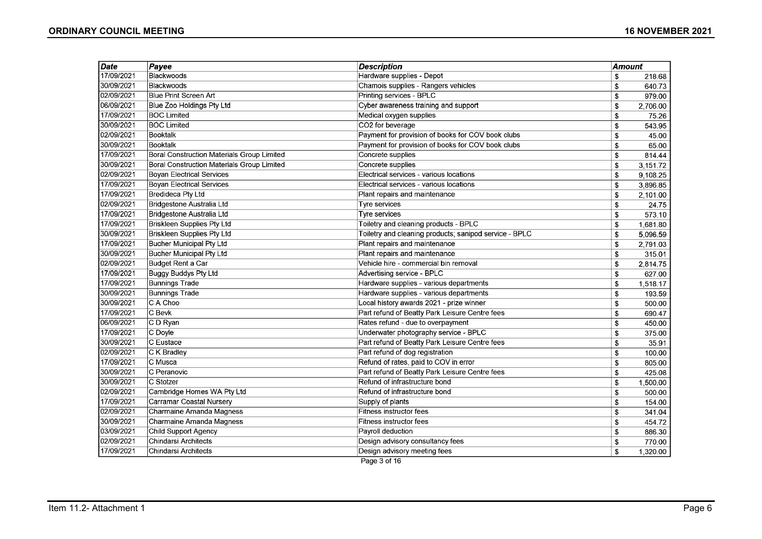| <b>Date</b> | Payee                                             | <b>Description</b>                                     | <b>Amount</b> |          |
|-------------|---------------------------------------------------|--------------------------------------------------------|---------------|----------|
| 17/09/2021  | Blackwoods                                        | Hardware supplies - Depot                              | \$            | 218.68   |
| 30/09/2021  | Blackwoods                                        | Chamois supplies - Rangers vehicles                    | \$            | 640.73   |
| 02/09/2021  | Blue Print Screen Art                             | Printing services - BPLC                               | \$            | 979.00   |
| 06/09/2021  | Blue Zoo Holdings Pty Ltd                         | Cyber awareness training and support                   | \$            | 2,706.00 |
| 17/09/2021  | <b>BOC Limited</b>                                | Medical oxygen supplies                                | \$            | 75.26    |
| 30/09/2021  | <b>BOC Limited</b>                                | CO2 for beverage                                       | \$            | 543.95   |
| 02/09/2021  | Booktalk                                          | Payment for provision of books for COV book clubs      | \$            | 45.00    |
| 30/09/2021  | Booktalk                                          | Payment for provision of books for COV book clubs      | \$            | 65.00    |
| 17/09/2021  | <b>Boral Construction Materials Group Limited</b> | Concrete supplies                                      | \$            | 814.44   |
| 30/09/2021  | Boral Construction Materials Group Limited        | Concrete supplies                                      | \$            | 3,151.72 |
| 02/09/2021  | <b>Boyan Electrical Services</b>                  | Electrical services - various locations                | \$            | 9,108.25 |
| 17/09/2021  | <b>Boyan Electrical Services</b>                  | Electrical services - various locations                | \$            | 3,896.85 |
| 17/09/2021  | <b>Bredideca Pty Ltd</b>                          | Plant repairs and maintenance                          | \$            | 2,101.00 |
| 02/09/2021  | Bridgestone Australia Ltd                         | Tyre services                                          | \$            | 24.75    |
| 17/09/2021  | Bridgestone Australia Ltd                         | Tyre services                                          | \$            | 573.10   |
| 17/09/2021  | <b>Briskleen Supplies Pty Ltd</b>                 | Toiletry and cleaning products - BPLC                  | \$            | 1,681.80 |
| 30/09/2021  | <b>Briskleen Supplies Pty Ltd</b>                 | Toiletry and cleaning products; sanipod service - BPLC | \$            | 5,096.59 |
| 17/09/2021  | <b>Bucher Municipal Pty Ltd</b>                   | Plant repairs and maintenance                          | \$            | 2,791.03 |
| 30/09/2021  | Bucher Municipal Pty Ltd                          | Plant repairs and maintenance                          | \$            | 315.01   |
| 02/09/2021  | Budget Rent a Car                                 | Vehicle hire - commercial bin removal                  | \$            | 2,814.75 |
| 17/09/2021  | <b>Buggy Buddys Pty Ltd</b>                       | Advertising service - BPLC                             | \$            | 627.00   |
| 17/09/2021  | Bunnings Trade                                    | Hardware supplies - various departments                | \$            | 1,518.17 |
| 30/09/2021  | <b>Bunnings Trade</b>                             | Hardware supplies - various departments                | \$            | 193.59   |
| 30/09/2021  | C A Choo                                          | Local history awards 2021 - prize winner               | \$            | 500.00   |
| 17/09/2021  | C Bevk                                            | Part refund of Beatty Park Leisure Centre fees         | \$            | 690.47   |
| 06/09/2021  | C D Ryan                                          | Rates refund - due to overpayment                      | \$            | 450.00   |
| 17/09/2021  | C Doyle                                           | Underwater photography service - BPLC                  | \$            | 375.00   |
| 30/09/2021  | C Eustace                                         | Part refund of Beatty Park Leisure Centre fees         | \$            | 35.91    |
| 02/09/2021  | C K Bradley                                       | Part refund of dog registration                        | \$            | 100.00   |
| 17/09/2021  | C Musca                                           | Refund of rates, paid to COV in error                  | \$            | 805.00   |
| 30/09/2021  | C Peranovic                                       | Part refund of Beatty Park Leisure Centre fees         | \$            | 425.08   |
| 30/09/2021  | C Stotzer                                         | Refund of infrastructure bond                          | \$            | 1,500.00 |
| 02/09/2021  | Cambridge Homes WA Pty Ltd                        | Refund of infrastructure bond                          | \$            | 500.00   |
| 17/09/2021  | Carramar Coastal Nursery                          | Supply of plants                                       | \$            | 154.00   |
| 02/09/2021  | <b>Charmaine Amanda Magness</b>                   | <b>Fitness instructor fees</b>                         | \$            | 341.04   |
| 30/09/2021  | Charmaine Amanda Magness                          | Fitness instructor fees                                | \$            | 454.72   |
| 03/09/2021  | Child Support Agency                              | Payroll deduction                                      | \$            | 886.30   |
| 02/09/2021  | <b>Chindarsi Architects</b>                       | Design advisory consultancy fees                       | \$            | 770.00   |
| 17/09/2021  | <b>Chindarsi Architects</b>                       | Design advisory meeting fees                           | \$            | 1,320.00 |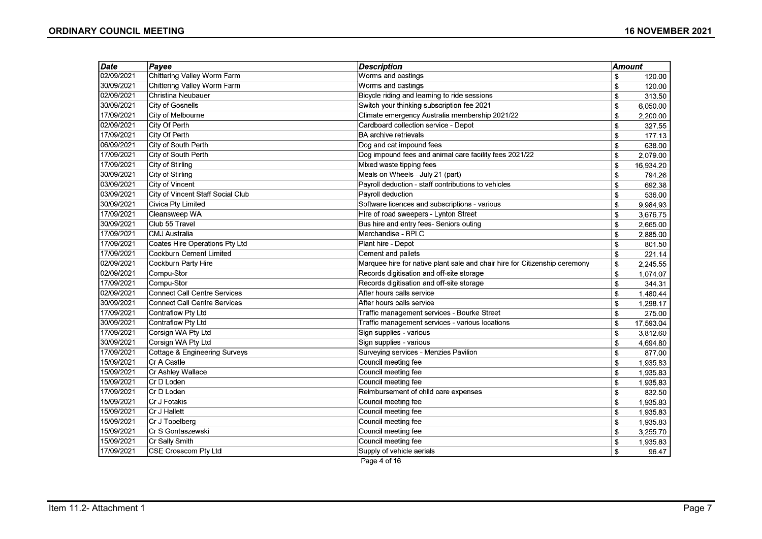| Date       | Payee                                    | <b>Description</b>                                                         | Amount |           |
|------------|------------------------------------------|----------------------------------------------------------------------------|--------|-----------|
| 02/09/2021 | Chittering Valley Worm Farm              | Worms and castings                                                         | \$     | 120.00    |
| 30/09/2021 | Chittering Valley Worm Farm              | Worms and castings                                                         | \$     | 120.00    |
| 02/09/2021 | <b>Christina Neubauer</b>                | Bicycle riding and learning to ride sessions                               | \$     | 313.50    |
| 30/09/2021 | City of Gosnells                         | Switch your thinking subscription fee 2021                                 | \$     | 6,050.00  |
| 17/09/2021 | City of Melbourne                        | Climate emergency Australia membership 2021/22                             | \$     | 2,200.00  |
| 02/09/2021 | <b>City Of Perth</b>                     | Cardboard collection service - Depot                                       | \$     | 327.55    |
| 17/09/2021 | City Of Perth                            | <b>BA</b> archive retrievals                                               | \$     | 177.13    |
| 06/09/2021 | City of South Perth                      | Dog and cat impound fees                                                   | \$     | 638.00    |
| 17/09/2021 | City of South Perth                      | Dog impound fees and animal care facility fees 2021/22                     | \$     | 2,079.00  |
| 17/09/2021 | City of Stirling                         | Mixed waste tipping fees                                                   | \$     | 16,934.20 |
| 30/09/2021 | City of Stirling                         | Meals on Wheels - July 21 (part)                                           | \$     | 794.26    |
| 03/09/2021 | City of Vincent                          | Payroll deduction - staff contributions to vehicles                        | \$     | 692.38    |
| 03/09/2021 | City of Vincent Staff Social Club        | Payroll deduction                                                          | \$     | 536.00    |
| 30/09/2021 | Civica Pty Limited                       | Software licences and subscriptions - various                              | \$     | 9,984.93  |
| 17/09/2021 | Cleansweep WA                            | Hire of road sweepers - Lynton Street                                      | \$     | 3,676.75  |
| 30/09/2021 | Club 55 Travel                           | Bus hire and entry fees- Seniors outing                                    | \$     | 2,665.00  |
| 17/09/2021 | CMJ Australia                            | Merchandise - BPLC                                                         | \$     | 2,885.00  |
| 17/09/2021 | Coates Hire Operations Pty Ltd           | Plant hire - Depot                                                         | \$     | 801.50    |
| 17/09/2021 | Cockburn Cement Limited                  | Cement and pallets                                                         | \$     | 221.14    |
| 02/09/2021 | Cockburn Party Hire                      | Marquee hire for native plant sale and chair hire for Citizenship ceremony | \$     | 2,245.55  |
| 02/09/2021 | Compu-Stor                               | Records digitisation and off-site storage                                  | \$     | 1,074.07  |
| 17/09/2021 | Compu-Stor                               | Records digitisation and off-site storage                                  | \$     | 344.31    |
| 02/09/2021 | <b>Connect Call Centre Services</b>      | After hours calls service                                                  | \$     | 1,480.44  |
| 30/09/2021 | <b>Connect Call Centre Services</b>      | After hours calls service                                                  | \$     | 1,298.17  |
| 17/09/2021 | Contraflow Pty Ltd                       | Traffic management services - Bourke Street                                | \$     | 275.00    |
| 30/09/2021 | Contraflow Pty Ltd                       | Traffic management services - various locations                            | \$     | 17,593.04 |
| 17/09/2021 | Corsign WA Pty Ltd                       | Sign supplies - various                                                    | \$     | 3,812.60  |
| 30/09/2021 | Corsign WA Pty Ltd                       | Sign supplies - various                                                    | \$     | 4,694.80  |
| 17/09/2021 | <b>Cottage &amp; Engineering Surveys</b> | Surveying services - Menzies Pavilion                                      | \$     | 877.00    |
| 15/09/2021 | Cr A Castle                              | Council meeting fee                                                        | \$     | 1,935.83  |
| 15/09/2021 | Cr Ashley Wallace                        | Council meeting fee                                                        | \$     | 1,935.83  |
| 15/09/2021 | Cr D Loden                               | Council meeting fee                                                        | \$     | 1,935.83  |
| 17/09/2021 | Cr D Loden                               | Reimbursement of child care expenses                                       | \$     | 832.50    |
| 15/09/2021 | Cr J Fotakis                             | Council meeting fee                                                        | \$     | 1,935.83  |
| 15/09/2021 | Cr J Hallett                             | Council meeting fee                                                        | \$     | 1,935.83  |
| 15/09/2021 | Cr J Topelberg                           | Council meeting fee                                                        | \$     | 1,935.83  |
| 15/09/2021 | Cr S Gontaszewski                        | Council meeting fee                                                        | \$     | 3,255.70  |
| 15/09/2021 | Cr Sally Smith                           | Council meeting fee                                                        | \$     | 1,935.83  |
| 17/09/2021 | CSE Crosscom Pty Ltd                     | Supply of vehicle aerials                                                  | \$     | 96.47     |

Page 4 of 16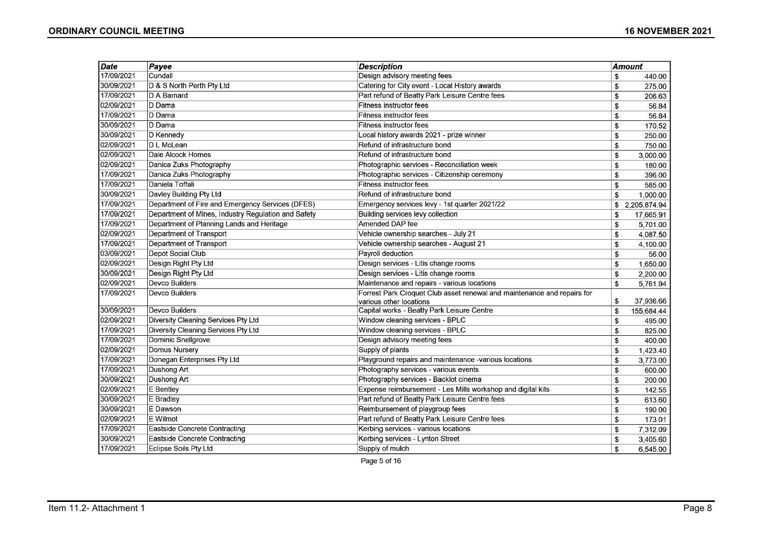| $\overline{\mathsf{Date}}$ | Payee                                               | <b>Description</b>                                                      |            | Amount       |
|----------------------------|-----------------------------------------------------|-------------------------------------------------------------------------|------------|--------------|
| 17/09/2021                 | Cundall                                             | Design advisory meeting fees                                            | \$         | 440.00       |
| 30/09/2021                 | D & S North Perth Pty Ltd                           | Catering for City event - Local History awards                          | \$         | 275.00       |
| 17/09/2021                 | D A Barnard                                         | Part refund of Beatty Park Leisure Centre fees                          | \$         | 206.63       |
| 02/09/2021                 | D Dama                                              | <b>Fitness instructor fees</b>                                          | \$         | 56.84        |
| 17/09/2021                 | D Dama                                              | Fitness instructor fees                                                 | \$         | 56.84        |
| 30/09/2021                 | ∣D Dama                                             | Fitness instructor fees                                                 | \$         | 170.52       |
| 30/09/2021                 | D Kennedy                                           | Local history awards 2021 - prize winner                                | \$         | 250.00       |
| 02/09/2021                 | ∣D L McLean                                         | Refund of infrastructure bond                                           | \$         | 750.00       |
| 02/09/2021                 | Dale Alcock Homes                                   | Refund of infrastructure bond                                           | \$         | 3,000.00     |
| 02/09/2021                 | Danica Zuks Photography                             | Photographic services - Reconciliation week                             | \$         | 180.00       |
| 17/09/2021                 | Danica Zuks Photography                             | Photographic services - Citizenship ceremony                            | \$         | 396.00       |
| 17/09/2021                 | Daniela Toffali                                     | Fitness instructor fees                                                 | \$         | 585.00       |
| 30/09/2021                 | Davley Building Pty Ltd                             | Refund of infrastructure bond                                           | \$         | 1,000.00     |
| 17/09/2021                 | Department of Fire and Emergency Services (DFES)    | Emergency services levy - 1st quarter 2021/22                           | \$         | 2,205,874.94 |
| 17/09/2021                 | Department of Mines, Industry Regulation and Safety | Building services levy collection                                       | \$         | 17,665.91    |
| 17/09/2021                 | Department of Planning Lands and Heritage           | Amended DAP fee                                                         | \$         | 5,701.00     |
| 02/09/2021                 | Department of Transport                             | Vehicle ownership searches - July 21                                    | \$         | 4,087.50     |
| 17/09/2021                 | Department of Transport                             | Vehicle ownership searches - August 21                                  | \$         | 4,100.00     |
| 03/09/2021                 | Depot Social Club                                   | Payroll deduction                                                       | \$         | 56.00        |
| 02/09/2021                 | Design Right Pty Ltd                                | Design services - Litis change rooms                                    | \$         | 1,650.00     |
| 30/09/2021                 | Design Right Pty Ltd                                | Design services - Litis change rooms                                    | \$         | 2,200.00     |
| 02/09/2021                 | Devco Builders                                      | Maintenance and repairs - various locations                             | \$         | 5,761.94     |
| 17/09/2021                 | Devco Builders                                      | Forrest Park Croquet Club asset renewal and maintenance and repairs for |            |              |
|                            |                                                     | various other locations                                                 | \$         | 37,936.66    |
| 30/09/2021                 | Devco Builders                                      | Capital works - Beatty Park Leisure Centre                              | \$         | 155,684.44   |
| 02/09/2021                 | Diversity Cleaning Services Pty Ltd                 | Window cleaning services - BPLC                                         | \$         | 495.00       |
| 17/09/2021                 | Diversity Cleaning Services Pty Ltd                 | Window cleaning services - BPLC                                         | \$         | 825.00       |
| 17/09/2021                 | Dominic Snellgrove                                  | Design advisory meeting fees                                            | \$         | 400.00       |
| 02/09/2021                 | Domus Nursery                                       | Supply of plants                                                        | \$         | 1,423.40     |
| 17/09/2021                 | Donegan Enterprises Pty Ltd                         | Playground repairs and maintenance -various locations                   | \$         | 3,773.00     |
| 17/09/2021                 | Dushong Art                                         | Photography services - various events                                   | \$         | 600.00       |
| 30/09/2021                 | Dushong Art                                         | Photography services - Backlot cinema                                   | \$         | 200.00       |
| 02/09/2021                 | E Bentley                                           | Expense reimbursement - Les Mills workshop and digital kits             | $\sqrt{3}$ | 142.55       |
| 30/09/2021                 | E Bradley                                           | Part refund of Beatty Park Leisure Centre fees                          | \$         | 613.60       |
| 30/09/2021                 | E Dawson                                            | Reimbursement of playgroup fees                                         | \$         | 190.00       |
| 02/09/2021                 | E Wilmot                                            | Part refund of Beatty Park Leisure Centre fees                          | \$         | 173.01       |
| 17/09/2021                 | Eastside Concrete Contracting                       | Kerbing services - various locations                                    | \$         | 7,312.09     |
| 30/09/2021                 | Eastside Concrete Contracting                       | Kerbing services - Lynton Street                                        | \$         | 3,405.60     |
| 17/09/2021                 | Eclipse Soils Pty Ltd                               | Supply of mulch                                                         | \$         | 6,545.00     |

Page 5 of 16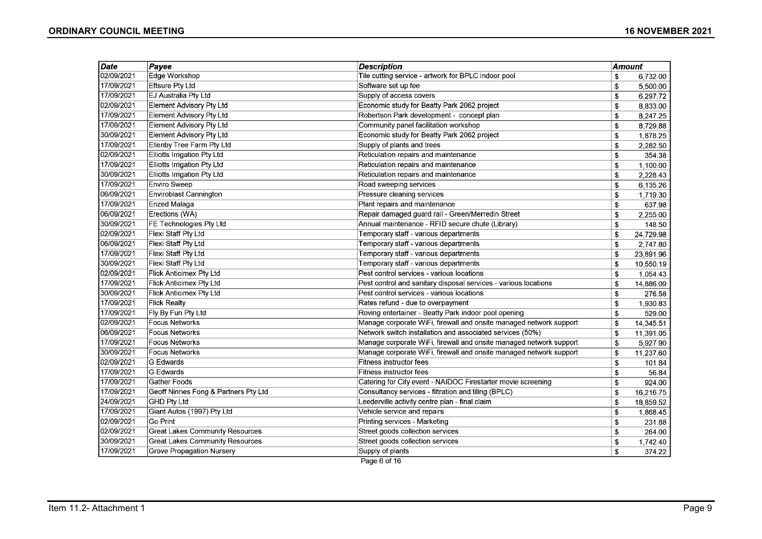| <b>Date</b> | Payee                                  | <b>Description</b>                                                 | <b>Amount</b> |           |
|-------------|----------------------------------------|--------------------------------------------------------------------|---------------|-----------|
| 02/09/2021  | Edge Workshop                          | Tile cutting service - artwork for BPLC indoor pool                | \$            | 6,732.00  |
| 17/09/2021  | <b>Eftsure Pty Ltd</b>                 | Software set up fee                                                | \$            | 5,500.00  |
| 17/09/2021  | EJ Australia Pty Ltd                   | Supply of access covers                                            | \$            | 6,297.72  |
| 02/09/2021  | Element Advisory Pty Ltd               | Economic study for Beatty Park 2062 project                        | \$            | 8,833.00  |
| 17/09/2021  | <b>Element Advisory Pty Ltd</b>        | Robertson Park development - concept plan                          | \$            | 8,247.25  |
| 17/09/2021  | <b>Element Advisory Pty Ltd</b>        | Community panel facilitation workshop                              | \$            | 8,729.88  |
| 30/09/2021  | Element Advisory Pty Ltd               | Economic study for Beatty Park 2062 project                        | \$            | 1,878.25  |
| 17/09/2021  | Ellenby Tree Farm Pty Ltd              | Supply of plants and trees                                         | \$            | 2,282.50  |
| 02/09/2021  | Elliotts Irrigation Pty Ltd            | Reticulation repairs and maintenance                               | \$            | 354.38    |
| 17/09/2021  | Elliotts Irrigation Pty Ltd            | Reticulation repairs and maintenance                               | \$            | 1,100.00  |
| 30/09/2021  | Elliotts Irrigation Pty Ltd            | Reticulation repairs and maintenance                               | \$            | 2,228.43  |
| 17/09/2021  | Enviro Sweep                           | Road sweeping services                                             | \$            | 6,135.26  |
| 06/09/2021  | Enviroblast Cannington                 | Pressure cleaning services                                         | \$            | 1,719.30  |
| 17/09/2021  | Enzed Malaga                           | Plant repairs and maintenance                                      | \$            | 637.98    |
| 06/09/2021  | Erections (WA)                         | Repair damaged guard rail - Green/Merredin Street                  | \$            | 2,255.00  |
| 30/09/2021  | FE Technologies Pty Ltd                | Annual maintenance - RFID secure chute (Library)                   | \$            | 148.50    |
| 02/09/2021  | Flexi Staff Pty Ltd                    | Temporary staff - various departments                              | \$            | 24,729.98 |
| 06/09/2021  | Flexi Staff Pty Ltd                    | Temporary staff - various departments                              | \$            | 2,747.80  |
| 17/09/2021  | Flexi Staff Pty Ltd                    | Temporary staff - various departments                              | \$            | 23,891.96 |
| 30/09/2021  | Flexi Staff Pty Ltd                    | Temporary staff - various departments                              | \$            | 10.550.19 |
| 02/09/2021  | <b>Flick Anticimex Pty Ltd</b>         | Pest control services - various locations                          | \$            | 1,054.43  |
| 17/09/2021  | Flick Anticimex Pty Ltd                | Pest control and sanitary disposal services - various locations    | \$            | 14,886.09 |
| 30/09/2021  | Flick Anticimex Pty Ltd                | Pest control services - various locations                          | \$            | 276.58    |
| 17/09/2021  | Flick Realty                           | Rates refund - due to overpayment                                  | \$            | 1,930.83  |
| 17/09/2021  | Fly By Fun Pty Ltd                     | Roving entertainer - Beatty Park indoor pool opening               | \$            | 529.00    |
| 02/09/2021  | <b>Focus Networks</b>                  | Manage corporate WiFi, firewall and onsite managed network support | \$            | 14,345.51 |
| 06/09/2021  | Focus Networks                         | Network switch installation and associated services (50%)          | \$            | 11,391.05 |
| 17/09/2021  | Focus Networks                         | Manage corporate WiFi, firewall and onsite managed network support | \$            | 5,927.90  |
| 30/09/2021  | Focus Networks                         | Manage corporate WiFi, firewall and onsite managed network support | \$            | 11,237.60 |
| 02/09/2021  | G Edwards                              | <b>Fitness instructor fees</b>                                     | \$            | 101.84    |
| 17/09/2021  | G Edwards                              | Fitness instructor fees                                            | \$            | 56.84     |
| 17/09/2021  | <b>Gather Foods</b>                    | Catering for City event - NAIDOC Firestarter movie screening       | \$            | 924.00    |
| 17/09/2021  | Geoff Ninnes Fong & Partners Pty Ltd   | Consultancy services - filtration and tiling (BPLC)                | \$            | 16,216.75 |
| 24/09/2021  | <b>GHD Pty Ltd</b>                     | Leederville activity centre plan - final claim                     | \$            | 18,859.52 |
| 17/09/2021  | Giant Autos (1997) Pty Ltd             | Vehicle service and repairs                                        | \$            | 1,868.45  |
| 02/09/2021  | Go Print                               | Printing services - Marketing                                      | \$            | 231.88    |
| 02/09/2021  | <b>Great Lakes Community Resources</b> | Street goods collection services                                   | \$            | 264.00    |
| 30/09/2021  | <b>Great Lakes Community Resources</b> | Street goods collection services                                   | \$            | 1,742.40  |
| 17/09/2021  | Grove Propagation Nursery              | Supply of plants                                                   | \$            | 374.22    |
|             |                                        | Page 6 of 16                                                       |               |           |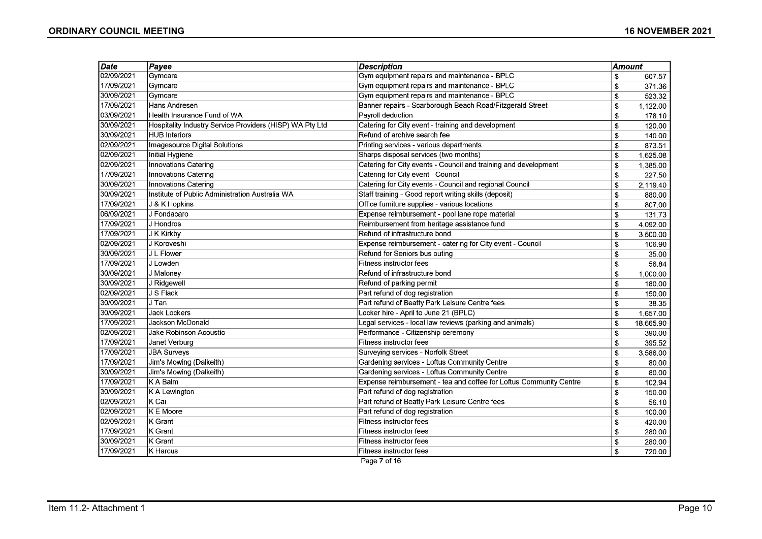| Date       | Payee                                                    | <b>Description</b>                                                 | Amount |           |
|------------|----------------------------------------------------------|--------------------------------------------------------------------|--------|-----------|
| 02/09/2021 | Gymcare                                                  | Gym equipment repairs and maintenance - BPLC                       | \$     | 607.57    |
| 17/09/2021 | Gymcare                                                  | Gym equipment repairs and maintenance - BPLC                       | \$     | 371.36    |
| 30/09/2021 | Gymcare                                                  | Gym equipment repairs and maintenance - BPLC                       | \$     | 523.32    |
| 17/09/2021 | Hans Andresen                                            | Banner repairs - Scarborough Beach Road/Fitzgerald Street          | \$     | 1,122.00  |
| 03/09/2021 | Health Insurance Fund of WA                              | Payroll deduction                                                  | \$     | 178.10    |
| 30/09/2021 | Hospitality Industry Service Providers (HISP) WA Pty Ltd | Catering for City event - training and development                 | \$     | 120.00    |
| 30/09/2021 | <b>HUB Interiors</b>                                     | Refund of archive search fee                                       | \$     | 140.00    |
| 02/09/2021 | Imagesource Digital Solutions                            | Printing services - various departments                            | \$     | 873.51    |
| 02/09/2021 | Initial Hygiene                                          | Sharps disposal services (two months)                              | \$     | 1,625.08  |
| 02/09/2021 | Innovations Catering                                     | Catering for City events - Council and training and development    | \$     | 1,385.00  |
| 17/09/2021 | Innovations Catering                                     | Catering for City event - Council                                  | \$     | 227.50    |
| 30/09/2021 | <b>Innovations Catering</b>                              | Catering for City events - Council and regional Council            | £.     | 2,119.40  |
| 30/09/2021 | Institute of Public Administration Australia WA          | Staff training - Good report writing skills (deposit)              | \$     | 880.00    |
| 17/09/2021 | J & K Hopkins                                            | Office furniture supplies - various locations                      | \$     | 807.00    |
| 06/09/2021 | J Fondacaro                                              | Expense reimbursement - pool lane rope material                    | \$     | 131.73    |
| 17/09/2021 | J Hondros                                                | Reimbursement from heritage assistance fund                        | \$     | 4,092.00  |
| 17/09/2021 | J K Kirkby                                               | Refund of infrastructure bond                                      | \$     | 3,500.00  |
| 02/09/2021 | J Koroveshi                                              | Expense reimbursement - catering for City event - Council          | \$     | 106.90    |
| 30/09/2021 | J L Flower                                               | Refund for Seniors bus outing                                      | \$     | 35.00     |
| 17/09/2021 | J Lowden                                                 | Fitness instructor fees                                            | \$     | 56.84     |
| 30/09/2021 | J Maloney                                                | Refund of infrastructure bond                                      | \$     | 1,000.00  |
| 30/09/2021 | J Ridgewell                                              | Refund of parking permit                                           | \$     | 180.00    |
| 02/09/2021 | J S Flack                                                | Part refund of dog registration                                    | \$     | 150.00    |
| 30/09/2021 | J Tan                                                    | Part refund of Beatty Park Leisure Centre fees                     | \$     | 38.35     |
| 30/09/2021 | Jack Lockers                                             | Locker hire - April to June 21 (BPLC)                              | \$     | 1,657.00  |
| 17/09/2021 | Jackson McDonald                                         | Legal services - local law reviews (parking and animals)           | \$     | 18,665.90 |
| 02/09/2021 | Jake Robinson Acoustic                                   | Performance - Citizenship ceremony                                 | \$     | 390.00    |
| 17/09/2021 | Janet Verburg                                            | Fitness instructor fees                                            | \$     | 395.52    |
| 17/09/2021 | <b>JBA Surveys</b>                                       | Surveying services - Norfolk Street                                | \$     | 3,586.00  |
| 17/09/2021 | Jim's Mowing (Dalkeith)                                  | Gardening services - Loftus Community Centre                       | \$     | 80.00     |
| 30/09/2021 | Jim's Mowing (Dalkeith)                                  | Gardening services - Loftus Community Centre                       | \$     | 80.00     |
| 17/09/2021 | K A Balm                                                 | Expense reimbursement - tea and coffee for Loftus Community Centre | \$     | 102.94    |
| 30/09/2021 | K A Lewington                                            | Part refund of dog registration                                    | \$     | 150.00    |
| 02/09/2021 | K Cai                                                    | Part refund of Beatty Park Leisure Centre fees                     | \$     | 56.10     |
| 02/09/2021 | K E Moore                                                | Part refund of dog registration                                    | \$     | 100.00    |
| 02/09/2021 | K Grant                                                  | Fitness instructor fees                                            | \$     | 420.00    |
| 17/09/2021 | <b>K</b> Grant                                           | Fitness instructor fees                                            | \$     | 280.00    |
| 30/09/2021 | K Grant                                                  | Fitness instructor fees                                            | \$     | 280.00    |
| 17/09/2021 | K Harcus                                                 | Fitness instructor fees                                            | \$     | 720.00    |

Page 7 of 16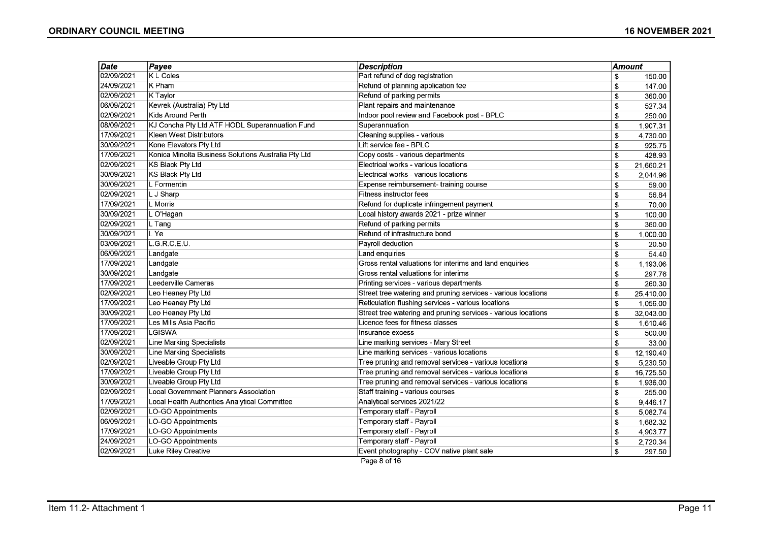| 02/09/2021<br>K L Coles<br>Part refund of dog registration<br>\$<br>150.00<br>24/09/2021<br>K Pham<br>Refund of planning application fee<br>\$<br>147.00<br>02/09/2021<br>K Taylor<br>Refund of parking permits<br>\$<br>360.00<br>06/09/2021<br>Kevrek (Australia) Pty Ltd<br>Plant repairs and maintenance<br>\$<br>527.34<br>02/09/2021<br>Kids Around Perth<br>Indoor pool review and Facebook post - BPLC<br>\$<br>250.00<br>08/09/2021<br>KJ Concha Pty Ltd ATF HODL Superannuation Fund<br>Superannuation<br>\$<br>1.907.31<br>17/09/2021<br>Kleen West Distributors<br>Cleaning supplies - various<br>\$<br>4,730.00<br>30/09/2021<br>Kone Elevators Pty Ltd<br>Lift service fee - BPLC<br>\$<br>925.75<br>17/09/2021<br>Konica Minolta Business Solutions Australia Pty Ltd<br>Copy costs - various departments<br>\$<br>428.93<br>02/09/2021<br><b>KS Black Pty Ltd</b><br>Electrical works - various locations<br>\$<br>21,660.21<br>30/09/2021<br>KS Black Pty Ltd<br>Electrical works - various locations<br>\$<br>2,044.96<br>30/09/2021<br>L Formentin<br>Expense reimbursement- training course<br>\$<br>59.00<br>02/09/2021<br>L J Sharp<br>Fitness instructor fees<br>\$<br>56.84<br>17/09/2021<br>L Morris<br>Refund for duplicate infringement payment<br>\$<br>70.00<br>30/09/2021<br>L O'Hagan<br>Local history awards 2021 - prize winner<br>\$<br>100.00<br>02/09/2021<br>Refund of parking permits<br>L Tang<br>\$<br>360.00<br>30/09/2021<br>L Ye<br>Refund of infrastructure bond<br>\$<br>1,000.00<br>03/09/2021<br>L.G.R.C.E.U.<br>Payroll deduction<br>\$<br>20.50<br>06/09/2021<br>Land enquiries<br>Landgate<br>\$<br>54.40<br>17/09/2021<br>Landgate<br>Gross rental valuations for interims and land enquiries<br>\$<br>1,193.06<br>30/09/2021<br>Landgate<br>Gross rental valuations for interims<br>\$<br>297.76<br>17/09/2021<br>Leederville Cameras<br>Printing services - various departments<br>\$<br>260.30<br>02/09/2021<br>Leo Heaney Pty Ltd<br>Street tree watering and pruning services - various locations<br>25,410.00<br>\$<br>17/09/2021<br>Leo Heaney Pty Ltd<br>Reticulation flushing services - various locations<br>\$<br>1,056.00<br>30/09/2021<br>Leo Heaney Pty Ltd<br>Street tree watering and pruning services - various locations<br>\$<br>32,043.00<br>17/09/2021<br>Les Mills Asia Pacific<br>Licence fees for fitness classes<br>1,610.46<br>\$<br>17/09/2021<br>LGISWA<br>Insurance excess<br>\$<br>500.00<br>02/09/2021<br>Line Marking Specialists<br>Line marking services - Mary Street<br>\$<br>33.00<br>30/09/2021<br>Line Marking Specialists<br>Line marking services - various locations<br>\$<br>12,190.40<br>02/09/2021<br>Liveable Group Pty Ltd<br>Tree pruning and removal services - various locations<br>\$<br>5,230.50<br>17/09/2021<br>Liveable Group Pty Ltd<br>Tree pruning and removal services - various locations<br>16,725.50<br>\$<br>30/09/2021<br>Liveable Group Pty Ltd<br>Tree pruning and removal services - various locations<br>\$<br>1,936.00<br>02/09/2021<br>Local Government Planners Association<br>Staff training - various courses<br>\$<br>255.00 | Date       | Payee                                         | <b>Description</b>          | Amount |          |
|-----------------------------------------------------------------------------------------------------------------------------------------------------------------------------------------------------------------------------------------------------------------------------------------------------------------------------------------------------------------------------------------------------------------------------------------------------------------------------------------------------------------------------------------------------------------------------------------------------------------------------------------------------------------------------------------------------------------------------------------------------------------------------------------------------------------------------------------------------------------------------------------------------------------------------------------------------------------------------------------------------------------------------------------------------------------------------------------------------------------------------------------------------------------------------------------------------------------------------------------------------------------------------------------------------------------------------------------------------------------------------------------------------------------------------------------------------------------------------------------------------------------------------------------------------------------------------------------------------------------------------------------------------------------------------------------------------------------------------------------------------------------------------------------------------------------------------------------------------------------------------------------------------------------------------------------------------------------------------------------------------------------------------------------------------------------------------------------------------------------------------------------------------------------------------------------------------------------------------------------------------------------------------------------------------------------------------------------------------------------------------------------------------------------------------------------------------------------------------------------------------------------------------------------------------------------------------------------------------------------------------------------------------------------------------------------------------------------------------------------------------------------------------------------------------------------------------------------------------------------------------------------------------------------------------------------------------------------------------------------------------------------------------------------------------------------------------------------------------------------------------------------------------------|------------|-----------------------------------------------|-----------------------------|--------|----------|
|                                                                                                                                                                                                                                                                                                                                                                                                                                                                                                                                                                                                                                                                                                                                                                                                                                                                                                                                                                                                                                                                                                                                                                                                                                                                                                                                                                                                                                                                                                                                                                                                                                                                                                                                                                                                                                                                                                                                                                                                                                                                                                                                                                                                                                                                                                                                                                                                                                                                                                                                                                                                                                                                                                                                                                                                                                                                                                                                                                                                                                                                                                                                                           |            |                                               |                             |        |          |
|                                                                                                                                                                                                                                                                                                                                                                                                                                                                                                                                                                                                                                                                                                                                                                                                                                                                                                                                                                                                                                                                                                                                                                                                                                                                                                                                                                                                                                                                                                                                                                                                                                                                                                                                                                                                                                                                                                                                                                                                                                                                                                                                                                                                                                                                                                                                                                                                                                                                                                                                                                                                                                                                                                                                                                                                                                                                                                                                                                                                                                                                                                                                                           |            |                                               |                             |        |          |
|                                                                                                                                                                                                                                                                                                                                                                                                                                                                                                                                                                                                                                                                                                                                                                                                                                                                                                                                                                                                                                                                                                                                                                                                                                                                                                                                                                                                                                                                                                                                                                                                                                                                                                                                                                                                                                                                                                                                                                                                                                                                                                                                                                                                                                                                                                                                                                                                                                                                                                                                                                                                                                                                                                                                                                                                                                                                                                                                                                                                                                                                                                                                                           |            |                                               |                             |        |          |
|                                                                                                                                                                                                                                                                                                                                                                                                                                                                                                                                                                                                                                                                                                                                                                                                                                                                                                                                                                                                                                                                                                                                                                                                                                                                                                                                                                                                                                                                                                                                                                                                                                                                                                                                                                                                                                                                                                                                                                                                                                                                                                                                                                                                                                                                                                                                                                                                                                                                                                                                                                                                                                                                                                                                                                                                                                                                                                                                                                                                                                                                                                                                                           |            |                                               |                             |        |          |
|                                                                                                                                                                                                                                                                                                                                                                                                                                                                                                                                                                                                                                                                                                                                                                                                                                                                                                                                                                                                                                                                                                                                                                                                                                                                                                                                                                                                                                                                                                                                                                                                                                                                                                                                                                                                                                                                                                                                                                                                                                                                                                                                                                                                                                                                                                                                                                                                                                                                                                                                                                                                                                                                                                                                                                                                                                                                                                                                                                                                                                                                                                                                                           |            |                                               |                             |        |          |
|                                                                                                                                                                                                                                                                                                                                                                                                                                                                                                                                                                                                                                                                                                                                                                                                                                                                                                                                                                                                                                                                                                                                                                                                                                                                                                                                                                                                                                                                                                                                                                                                                                                                                                                                                                                                                                                                                                                                                                                                                                                                                                                                                                                                                                                                                                                                                                                                                                                                                                                                                                                                                                                                                                                                                                                                                                                                                                                                                                                                                                                                                                                                                           |            |                                               |                             |        |          |
|                                                                                                                                                                                                                                                                                                                                                                                                                                                                                                                                                                                                                                                                                                                                                                                                                                                                                                                                                                                                                                                                                                                                                                                                                                                                                                                                                                                                                                                                                                                                                                                                                                                                                                                                                                                                                                                                                                                                                                                                                                                                                                                                                                                                                                                                                                                                                                                                                                                                                                                                                                                                                                                                                                                                                                                                                                                                                                                                                                                                                                                                                                                                                           |            |                                               |                             |        |          |
|                                                                                                                                                                                                                                                                                                                                                                                                                                                                                                                                                                                                                                                                                                                                                                                                                                                                                                                                                                                                                                                                                                                                                                                                                                                                                                                                                                                                                                                                                                                                                                                                                                                                                                                                                                                                                                                                                                                                                                                                                                                                                                                                                                                                                                                                                                                                                                                                                                                                                                                                                                                                                                                                                                                                                                                                                                                                                                                                                                                                                                                                                                                                                           |            |                                               |                             |        |          |
|                                                                                                                                                                                                                                                                                                                                                                                                                                                                                                                                                                                                                                                                                                                                                                                                                                                                                                                                                                                                                                                                                                                                                                                                                                                                                                                                                                                                                                                                                                                                                                                                                                                                                                                                                                                                                                                                                                                                                                                                                                                                                                                                                                                                                                                                                                                                                                                                                                                                                                                                                                                                                                                                                                                                                                                                                                                                                                                                                                                                                                                                                                                                                           |            |                                               |                             |        |          |
|                                                                                                                                                                                                                                                                                                                                                                                                                                                                                                                                                                                                                                                                                                                                                                                                                                                                                                                                                                                                                                                                                                                                                                                                                                                                                                                                                                                                                                                                                                                                                                                                                                                                                                                                                                                                                                                                                                                                                                                                                                                                                                                                                                                                                                                                                                                                                                                                                                                                                                                                                                                                                                                                                                                                                                                                                                                                                                                                                                                                                                                                                                                                                           |            |                                               |                             |        |          |
|                                                                                                                                                                                                                                                                                                                                                                                                                                                                                                                                                                                                                                                                                                                                                                                                                                                                                                                                                                                                                                                                                                                                                                                                                                                                                                                                                                                                                                                                                                                                                                                                                                                                                                                                                                                                                                                                                                                                                                                                                                                                                                                                                                                                                                                                                                                                                                                                                                                                                                                                                                                                                                                                                                                                                                                                                                                                                                                                                                                                                                                                                                                                                           |            |                                               |                             |        |          |
|                                                                                                                                                                                                                                                                                                                                                                                                                                                                                                                                                                                                                                                                                                                                                                                                                                                                                                                                                                                                                                                                                                                                                                                                                                                                                                                                                                                                                                                                                                                                                                                                                                                                                                                                                                                                                                                                                                                                                                                                                                                                                                                                                                                                                                                                                                                                                                                                                                                                                                                                                                                                                                                                                                                                                                                                                                                                                                                                                                                                                                                                                                                                                           |            |                                               |                             |        |          |
|                                                                                                                                                                                                                                                                                                                                                                                                                                                                                                                                                                                                                                                                                                                                                                                                                                                                                                                                                                                                                                                                                                                                                                                                                                                                                                                                                                                                                                                                                                                                                                                                                                                                                                                                                                                                                                                                                                                                                                                                                                                                                                                                                                                                                                                                                                                                                                                                                                                                                                                                                                                                                                                                                                                                                                                                                                                                                                                                                                                                                                                                                                                                                           |            |                                               |                             |        |          |
|                                                                                                                                                                                                                                                                                                                                                                                                                                                                                                                                                                                                                                                                                                                                                                                                                                                                                                                                                                                                                                                                                                                                                                                                                                                                                                                                                                                                                                                                                                                                                                                                                                                                                                                                                                                                                                                                                                                                                                                                                                                                                                                                                                                                                                                                                                                                                                                                                                                                                                                                                                                                                                                                                                                                                                                                                                                                                                                                                                                                                                                                                                                                                           |            |                                               |                             |        |          |
|                                                                                                                                                                                                                                                                                                                                                                                                                                                                                                                                                                                                                                                                                                                                                                                                                                                                                                                                                                                                                                                                                                                                                                                                                                                                                                                                                                                                                                                                                                                                                                                                                                                                                                                                                                                                                                                                                                                                                                                                                                                                                                                                                                                                                                                                                                                                                                                                                                                                                                                                                                                                                                                                                                                                                                                                                                                                                                                                                                                                                                                                                                                                                           |            |                                               |                             |        |          |
|                                                                                                                                                                                                                                                                                                                                                                                                                                                                                                                                                                                                                                                                                                                                                                                                                                                                                                                                                                                                                                                                                                                                                                                                                                                                                                                                                                                                                                                                                                                                                                                                                                                                                                                                                                                                                                                                                                                                                                                                                                                                                                                                                                                                                                                                                                                                                                                                                                                                                                                                                                                                                                                                                                                                                                                                                                                                                                                                                                                                                                                                                                                                                           |            |                                               |                             |        |          |
|                                                                                                                                                                                                                                                                                                                                                                                                                                                                                                                                                                                                                                                                                                                                                                                                                                                                                                                                                                                                                                                                                                                                                                                                                                                                                                                                                                                                                                                                                                                                                                                                                                                                                                                                                                                                                                                                                                                                                                                                                                                                                                                                                                                                                                                                                                                                                                                                                                                                                                                                                                                                                                                                                                                                                                                                                                                                                                                                                                                                                                                                                                                                                           |            |                                               |                             |        |          |
|                                                                                                                                                                                                                                                                                                                                                                                                                                                                                                                                                                                                                                                                                                                                                                                                                                                                                                                                                                                                                                                                                                                                                                                                                                                                                                                                                                                                                                                                                                                                                                                                                                                                                                                                                                                                                                                                                                                                                                                                                                                                                                                                                                                                                                                                                                                                                                                                                                                                                                                                                                                                                                                                                                                                                                                                                                                                                                                                                                                                                                                                                                                                                           |            |                                               |                             |        |          |
|                                                                                                                                                                                                                                                                                                                                                                                                                                                                                                                                                                                                                                                                                                                                                                                                                                                                                                                                                                                                                                                                                                                                                                                                                                                                                                                                                                                                                                                                                                                                                                                                                                                                                                                                                                                                                                                                                                                                                                                                                                                                                                                                                                                                                                                                                                                                                                                                                                                                                                                                                                                                                                                                                                                                                                                                                                                                                                                                                                                                                                                                                                                                                           |            |                                               |                             |        |          |
|                                                                                                                                                                                                                                                                                                                                                                                                                                                                                                                                                                                                                                                                                                                                                                                                                                                                                                                                                                                                                                                                                                                                                                                                                                                                                                                                                                                                                                                                                                                                                                                                                                                                                                                                                                                                                                                                                                                                                                                                                                                                                                                                                                                                                                                                                                                                                                                                                                                                                                                                                                                                                                                                                                                                                                                                                                                                                                                                                                                                                                                                                                                                                           |            |                                               |                             |        |          |
|                                                                                                                                                                                                                                                                                                                                                                                                                                                                                                                                                                                                                                                                                                                                                                                                                                                                                                                                                                                                                                                                                                                                                                                                                                                                                                                                                                                                                                                                                                                                                                                                                                                                                                                                                                                                                                                                                                                                                                                                                                                                                                                                                                                                                                                                                                                                                                                                                                                                                                                                                                                                                                                                                                                                                                                                                                                                                                                                                                                                                                                                                                                                                           |            |                                               |                             |        |          |
|                                                                                                                                                                                                                                                                                                                                                                                                                                                                                                                                                                                                                                                                                                                                                                                                                                                                                                                                                                                                                                                                                                                                                                                                                                                                                                                                                                                                                                                                                                                                                                                                                                                                                                                                                                                                                                                                                                                                                                                                                                                                                                                                                                                                                                                                                                                                                                                                                                                                                                                                                                                                                                                                                                                                                                                                                                                                                                                                                                                                                                                                                                                                                           |            |                                               |                             |        |          |
|                                                                                                                                                                                                                                                                                                                                                                                                                                                                                                                                                                                                                                                                                                                                                                                                                                                                                                                                                                                                                                                                                                                                                                                                                                                                                                                                                                                                                                                                                                                                                                                                                                                                                                                                                                                                                                                                                                                                                                                                                                                                                                                                                                                                                                                                                                                                                                                                                                                                                                                                                                                                                                                                                                                                                                                                                                                                                                                                                                                                                                                                                                                                                           |            |                                               |                             |        |          |
|                                                                                                                                                                                                                                                                                                                                                                                                                                                                                                                                                                                                                                                                                                                                                                                                                                                                                                                                                                                                                                                                                                                                                                                                                                                                                                                                                                                                                                                                                                                                                                                                                                                                                                                                                                                                                                                                                                                                                                                                                                                                                                                                                                                                                                                                                                                                                                                                                                                                                                                                                                                                                                                                                                                                                                                                                                                                                                                                                                                                                                                                                                                                                           |            |                                               |                             |        |          |
|                                                                                                                                                                                                                                                                                                                                                                                                                                                                                                                                                                                                                                                                                                                                                                                                                                                                                                                                                                                                                                                                                                                                                                                                                                                                                                                                                                                                                                                                                                                                                                                                                                                                                                                                                                                                                                                                                                                                                                                                                                                                                                                                                                                                                                                                                                                                                                                                                                                                                                                                                                                                                                                                                                                                                                                                                                                                                                                                                                                                                                                                                                                                                           |            |                                               |                             |        |          |
|                                                                                                                                                                                                                                                                                                                                                                                                                                                                                                                                                                                                                                                                                                                                                                                                                                                                                                                                                                                                                                                                                                                                                                                                                                                                                                                                                                                                                                                                                                                                                                                                                                                                                                                                                                                                                                                                                                                                                                                                                                                                                                                                                                                                                                                                                                                                                                                                                                                                                                                                                                                                                                                                                                                                                                                                                                                                                                                                                                                                                                                                                                                                                           |            |                                               |                             |        |          |
|                                                                                                                                                                                                                                                                                                                                                                                                                                                                                                                                                                                                                                                                                                                                                                                                                                                                                                                                                                                                                                                                                                                                                                                                                                                                                                                                                                                                                                                                                                                                                                                                                                                                                                                                                                                                                                                                                                                                                                                                                                                                                                                                                                                                                                                                                                                                                                                                                                                                                                                                                                                                                                                                                                                                                                                                                                                                                                                                                                                                                                                                                                                                                           |            |                                               |                             |        |          |
|                                                                                                                                                                                                                                                                                                                                                                                                                                                                                                                                                                                                                                                                                                                                                                                                                                                                                                                                                                                                                                                                                                                                                                                                                                                                                                                                                                                                                                                                                                                                                                                                                                                                                                                                                                                                                                                                                                                                                                                                                                                                                                                                                                                                                                                                                                                                                                                                                                                                                                                                                                                                                                                                                                                                                                                                                                                                                                                                                                                                                                                                                                                                                           |            |                                               |                             |        |          |
|                                                                                                                                                                                                                                                                                                                                                                                                                                                                                                                                                                                                                                                                                                                                                                                                                                                                                                                                                                                                                                                                                                                                                                                                                                                                                                                                                                                                                                                                                                                                                                                                                                                                                                                                                                                                                                                                                                                                                                                                                                                                                                                                                                                                                                                                                                                                                                                                                                                                                                                                                                                                                                                                                                                                                                                                                                                                                                                                                                                                                                                                                                                                                           |            |                                               |                             |        |          |
|                                                                                                                                                                                                                                                                                                                                                                                                                                                                                                                                                                                                                                                                                                                                                                                                                                                                                                                                                                                                                                                                                                                                                                                                                                                                                                                                                                                                                                                                                                                                                                                                                                                                                                                                                                                                                                                                                                                                                                                                                                                                                                                                                                                                                                                                                                                                                                                                                                                                                                                                                                                                                                                                                                                                                                                                                                                                                                                                                                                                                                                                                                                                                           |            |                                               |                             |        |          |
|                                                                                                                                                                                                                                                                                                                                                                                                                                                                                                                                                                                                                                                                                                                                                                                                                                                                                                                                                                                                                                                                                                                                                                                                                                                                                                                                                                                                                                                                                                                                                                                                                                                                                                                                                                                                                                                                                                                                                                                                                                                                                                                                                                                                                                                                                                                                                                                                                                                                                                                                                                                                                                                                                                                                                                                                                                                                                                                                                                                                                                                                                                                                                           |            |                                               |                             |        |          |
|                                                                                                                                                                                                                                                                                                                                                                                                                                                                                                                                                                                                                                                                                                                                                                                                                                                                                                                                                                                                                                                                                                                                                                                                                                                                                                                                                                                                                                                                                                                                                                                                                                                                                                                                                                                                                                                                                                                                                                                                                                                                                                                                                                                                                                                                                                                                                                                                                                                                                                                                                                                                                                                                                                                                                                                                                                                                                                                                                                                                                                                                                                                                                           |            |                                               |                             |        |          |
|                                                                                                                                                                                                                                                                                                                                                                                                                                                                                                                                                                                                                                                                                                                                                                                                                                                                                                                                                                                                                                                                                                                                                                                                                                                                                                                                                                                                                                                                                                                                                                                                                                                                                                                                                                                                                                                                                                                                                                                                                                                                                                                                                                                                                                                                                                                                                                                                                                                                                                                                                                                                                                                                                                                                                                                                                                                                                                                                                                                                                                                                                                                                                           |            |                                               |                             |        |          |
|                                                                                                                                                                                                                                                                                                                                                                                                                                                                                                                                                                                                                                                                                                                                                                                                                                                                                                                                                                                                                                                                                                                                                                                                                                                                                                                                                                                                                                                                                                                                                                                                                                                                                                                                                                                                                                                                                                                                                                                                                                                                                                                                                                                                                                                                                                                                                                                                                                                                                                                                                                                                                                                                                                                                                                                                                                                                                                                                                                                                                                                                                                                                                           | 17/09/2021 | Local Health Authorities Analytical Committee | Analytical services 2021/22 | \$     | 9,446.17 |
| 02/09/2021<br>LO-GO Appointments<br>Temporary staff - Payroll<br>\$<br>5,082.74                                                                                                                                                                                                                                                                                                                                                                                                                                                                                                                                                                                                                                                                                                                                                                                                                                                                                                                                                                                                                                                                                                                                                                                                                                                                                                                                                                                                                                                                                                                                                                                                                                                                                                                                                                                                                                                                                                                                                                                                                                                                                                                                                                                                                                                                                                                                                                                                                                                                                                                                                                                                                                                                                                                                                                                                                                                                                                                                                                                                                                                                           |            |                                               |                             |        |          |
| 06/09/2021<br>LO-GO Appointments<br>Temporary staff - Payroll<br>\$<br>1,682.32                                                                                                                                                                                                                                                                                                                                                                                                                                                                                                                                                                                                                                                                                                                                                                                                                                                                                                                                                                                                                                                                                                                                                                                                                                                                                                                                                                                                                                                                                                                                                                                                                                                                                                                                                                                                                                                                                                                                                                                                                                                                                                                                                                                                                                                                                                                                                                                                                                                                                                                                                                                                                                                                                                                                                                                                                                                                                                                                                                                                                                                                           |            |                                               |                             |        |          |
| 17/09/2021<br>LO-GO Appointments<br>Temporary staff - Payroll<br>\$<br>4,903.77                                                                                                                                                                                                                                                                                                                                                                                                                                                                                                                                                                                                                                                                                                                                                                                                                                                                                                                                                                                                                                                                                                                                                                                                                                                                                                                                                                                                                                                                                                                                                                                                                                                                                                                                                                                                                                                                                                                                                                                                                                                                                                                                                                                                                                                                                                                                                                                                                                                                                                                                                                                                                                                                                                                                                                                                                                                                                                                                                                                                                                                                           |            |                                               |                             |        |          |
| 24/09/2021<br>LO-GO Appointments<br>Temporary staff - Payroll<br>\$<br>2.720.34                                                                                                                                                                                                                                                                                                                                                                                                                                                                                                                                                                                                                                                                                                                                                                                                                                                                                                                                                                                                                                                                                                                                                                                                                                                                                                                                                                                                                                                                                                                                                                                                                                                                                                                                                                                                                                                                                                                                                                                                                                                                                                                                                                                                                                                                                                                                                                                                                                                                                                                                                                                                                                                                                                                                                                                                                                                                                                                                                                                                                                                                           |            |                                               |                             |        |          |
| Luke Riley Creative<br>02/09/2021<br>Event photography - COV native plant sale<br>\$                                                                                                                                                                                                                                                                                                                                                                                                                                                                                                                                                                                                                                                                                                                                                                                                                                                                                                                                                                                                                                                                                                                                                                                                                                                                                                                                                                                                                                                                                                                                                                                                                                                                                                                                                                                                                                                                                                                                                                                                                                                                                                                                                                                                                                                                                                                                                                                                                                                                                                                                                                                                                                                                                                                                                                                                                                                                                                                                                                                                                                                                      |            |                                               |                             |        | 297.50   |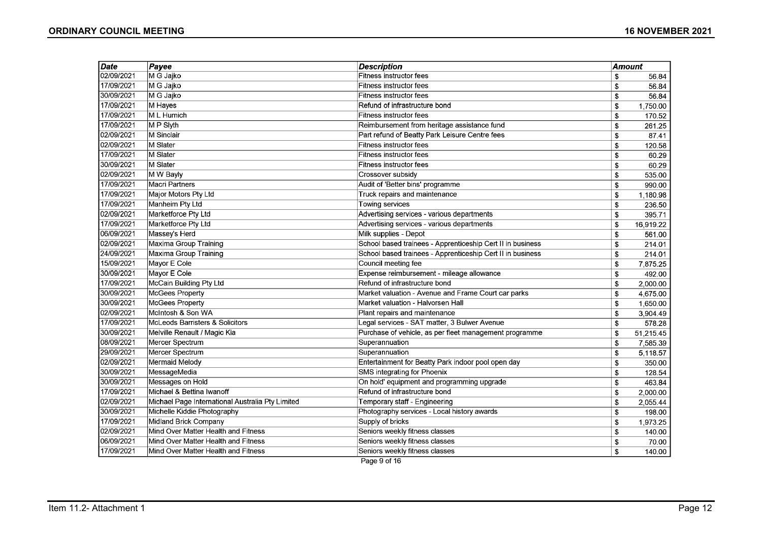| Date       | Payee                                            | <b>Description</b>                                         | <b>Amount</b> |           |
|------------|--------------------------------------------------|------------------------------------------------------------|---------------|-----------|
| 02/09/2021 | M G Jajko                                        | <b>Fitness instructor fees</b>                             | \$            | 56.84     |
| 17/09/2021 | M G Jajko                                        | Fitness instructor fees                                    | \$            | 56.84     |
| 30/09/2021 | M G Jajko                                        | Fitness instructor fees                                    | \$            | 56.84     |
| 17/09/2021 | M Hayes                                          | Refund of infrastructure bond                              | \$            | 1,750.00  |
| 17/09/2021 | M L Humich                                       | Fitness instructor fees                                    | \$            | 170.52    |
| 17/09/2021 | M P Slyth                                        | Reimbursement from heritage assistance fund                | \$            | 261.25    |
| 02/09/2021 | M Sinclair                                       | Part refund of Beatty Park Leisure Centre fees             | \$            | 87.41     |
| 02/09/2021 | M Slater                                         | Fitness instructor fees                                    | \$            | 120.58    |
| 17/09/2021 | <b>M</b> Slater                                  | <b>Fitness instructor fees</b>                             | \$            | 60.29     |
| 30/09/2021 | <b>M</b> Slater                                  | <b>Fitness instructor fees</b>                             | \$            | 60.29     |
| 02/09/2021 | M W Bayly                                        | Crossover subsidy                                          | \$            | 535.00    |
| 17/09/2021 | <b>Macri Partners</b>                            | Audit of 'Better bins' programme                           | \$            | 990.00    |
| 17/09/2021 | Major Motors Pty Ltd                             | Truck repairs and maintenance                              | \$            | 1,180.98  |
| 17/09/2021 | Manheim Pty Ltd                                  | <b>Towing services</b>                                     | \$            | 236.50    |
| 02/09/2021 | Marketforce Pty Ltd                              | Advertising services - various departments                 | \$            | 395.71    |
| 17/09/2021 | Marketforce Pty Ltd                              | Advertising services - various departments                 | \$            | 16,919.22 |
| 06/09/2021 | Massey's Herd                                    | Milk supplies - Depot                                      | \$            | 561.00    |
| 02/09/2021 | Maxima Group Training                            | School based trainees - Apprenticeship Cert II in business | \$            | 214.01    |
| 24/09/2021 | <b>Maxima Group Training</b>                     | School based trainees - Apprenticeship Cert II in business | \$            | 214.01    |
| 15/09/2021 | Mayor E Cole                                     | Council meeting fee                                        | \$            | 7,875.25  |
| 30/09/2021 | Mayor E Cole                                     | Expense reimbursement - mileage allowance                  | \$            | 492.00    |
| 17/09/2021 | McCain Building Pty Ltd                          | Refund of infrastructure bond                              | \$            | 2,000.00  |
| 30/09/2021 | McGees Property                                  | Market valuation - Avenue and Frame Court car parks        | \$            | 4,675.00  |
| 30/09/2021 | <b>McGees Property</b>                           | Market valuation - Halvorsen Hall                          | \$            | 1,650.00  |
| 02/09/2021 | McIntosh & Son WA                                | Plant repairs and maintenance                              | \$            | 3,904.49  |
| 17/09/2021 | McLeods Barristers & Solicitors                  | Legal services - SAT matter, 3 Bulwer Avenue               | \$            | 578.28    |
| 30/09/2021 | Melville Renault / Magic Kia                     | Purchase of vehicle, as per fleet management programme     | \$            | 51,215.45 |
| 08/09/2021 | Mercer Spectrum                                  | Superannuation                                             | \$            | 7,585.39  |
| 29/09/2021 | Mercer Spectrum                                  | Superannuation                                             | \$            | 5,118.57  |
| 02/09/2021 | <b>Mermaid Melody</b>                            | Entertainment for Beatty Park indoor pool open day         | \$            | 350.00    |
| 30/09/2021 | MessageMedia                                     | SMS integrating for Phoenix                                | \$            | 128.54    |
| 30/09/2021 | Messages on Hold                                 | On hold' equipment and programming upgrade                 | \$            | 463.84    |
| 17/09/2021 | Michael & Bettina Iwanoff                        | Refund of infrastructure bond                              | \$            | 2,000.00  |
| 02/09/2021 | Michael Page International Australia Pty Limited | Temporary staff - Engineering                              | \$            | 2,055.44  |
| 30/09/2021 | Michelle Kiddie Photography                      | Photography services - Local history awards                | \$            | 198.00    |
| 17/09/2021 | <b>Midland Brick Company</b>                     | Supply of bricks                                           | \$            | 1,973.25  |
| 02/09/2021 | Mind Over Matter Health and Fitness              | Seniors weekly fitness classes                             | \$            | 140.00    |
| 06/09/2021 | Mind Over Matter Health and Fitness              | Seniors weekly fitness classes                             | \$            | 70.00     |
| 17/09/2021 | Mind Over Matter Health and Fitness              | Seniors weekly fitness classes                             | \$            | 140.00    |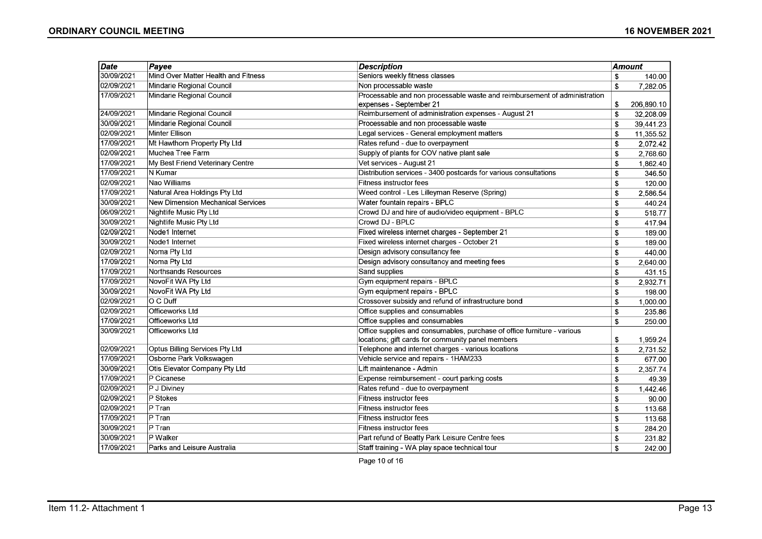| <b>Date</b> | Payee                                    | <b>Description</b>                                                        | Amount       |            |
|-------------|------------------------------------------|---------------------------------------------------------------------------|--------------|------------|
| 30/09/2021  | Mind Over Matter Health and Fitness      | Seniors weekly fitness classes                                            | \$           | 140.00     |
| 02/09/2021  | Mindarie Regional Council                | Non processable waste                                                     | \$           | 7,282.05   |
| 17/09/2021  | Mindarie Regional Council                | Processable and non processable waste and reimbursement of administration |              |            |
|             |                                          | expenses - September 21                                                   | \$           | 206,890.10 |
| 24/09/2021  | Mindarie Regional Council                | Reimbursement of administration expenses - August 21                      | \$           | 32,208.09  |
| 30/09/2021  | Mindarie Regional Council                | Processable and non processable waste                                     | \$           | 39,441.23  |
| 02/09/2021  | Minter Ellison                           | Legal services - General employment matters                               | \$           | 11,355.52  |
| 17/09/2021  | Mt Hawthorn Property Pty Ltd             | Rates refund - due to overpayment                                         | \$           | 2,072.42   |
| 02/09/2021  | Muchea Tree Farm                         | Supply of plants for COV native plant sale                                | \$           | 2,768.60   |
| 17/09/2021  | My Best Friend Veterinary Centre         | Vet services - August 21                                                  | \$           | 1,862.40   |
| 17/09/2021  | N Kumar                                  | Distribution services - 3400 postcards for various consultations          | \$           | 346.50     |
| 02/09/2021  | Nao Williams                             | Fitness instructor fees                                                   | \$           | 120.00     |
| 17/09/2021  | Natural Area Holdings Pty Ltd            | Weed control - Les Lilleyman Reserve (Spring)                             | \$           | 2,586.54   |
| 30/09/2021  | <b>New Dimension Mechanical Services</b> | Water fountain repairs - BPLC                                             | \$           | 440.24     |
| 06/09/2021  | Nightlife Music Pty Ltd                  | Crowd DJ and hire of audio/video equipment - BPLC                         | \$           | 518.77     |
| 30/09/2021  | Nightlife Music Pty Ltd                  | Crowd DJ - BPLC                                                           | \$           | 417.94     |
| 02/09/2021  | Node1 Internet                           | Fixed wireless internet charges - September 21                            | \$           | 189.00     |
| 30/09/2021  | Node1 Internet                           | Fixed wireless internet charges - October 21                              | \$           | 189.00     |
| 02/09/2021  | Noma Pty Ltd                             | Design advisory consultancy fee                                           | \$           | 440.00     |
| 17/09/2021  | Noma Pty Ltd                             | Design advisory consultancy and meeting fees                              | \$           | 2,640.00   |
| 17/09/2021  | Northsands Resources                     | Sand supplies                                                             | \$           | 431.15     |
| 17/09/2021  | NovoFit WA Pty Ltd                       | Gym equipment repairs - BPLC                                              | \$           | 2,932.71   |
| 30/09/2021  | NovoFit WA Pty Ltd                       | Gym equipment repairs - BPLC                                              | \$           | 198.00     |
| 02/09/2021  | O C Duff                                 | Crossover subsidy and refund of infrastructure bond                       | \$           | 1,000.00   |
| 02/09/2021  | Officeworks Ltd                          | Office supplies and consumables                                           | \$           | 235.86     |
| 17/09/2021  | Officeworks Ltd                          | Office supplies and consumables                                           | \$           | 250.00     |
| 30/09/2021  | Officeworks Ltd                          | Office supplies and consumables, purchase of office furniture - various   |              |            |
|             |                                          | locations; gift cards for community panel members                         | \$           | 1,959.24   |
| 02/09/2021  | Optus Billing Services Pty Ltd           | Telephone and internet charges - various locations                        | \$           | 2,731.52   |
| 17/09/2021  | Osborne Park Volkswagen                  | Vehicle service and repairs - 1HAM233                                     | \$           | 677.00     |
| 30/09/2021  | Otis Elevator Company Pty Ltd            | Lift maintenance - Admin                                                  | \$           | 2,357.74   |
| 17/09/2021  | P Cicanese                               | Expense reimbursement - court parking costs                               | \$           | 49.39      |
| 02/09/2021  | P J Diviney                              | Rates refund - due to overpayment                                         | \$           | 1,442.46   |
| 02/09/2021  | P Stokes                                 | Fitness instructor fees                                                   | \$           | 90.00      |
| 02/09/2021  | $P$ Tran                                 | Fitness instructor fees                                                   | \$           | 113.68     |
| 17/09/2021  | P Tran                                   | Fitness instructor fees                                                   | \$           | 113.68     |
| 30/09/2021  | P Tran                                   | Fitness instructor fees                                                   | \$           | 284.20     |
| 30/09/2021  | P Walker                                 | Part refund of Beatty Park Leisure Centre fees                            | \$           | 231.82     |
| 17/09/2021  | Parks and Leisure Australia              | Staff training - WA play space technical tour                             | $\mathbf{s}$ | 242.00     |

Page 10 of 16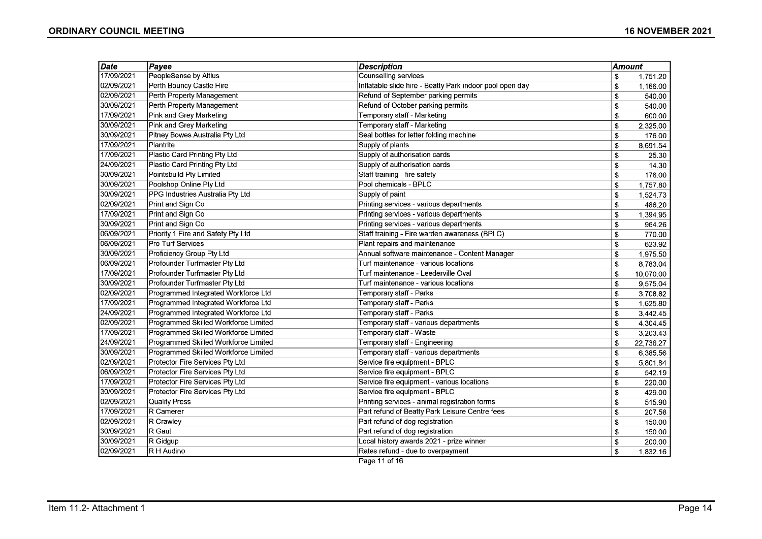| Date       | <b>Description</b><br>Payee          |                                                          |            | <b>Amount</b> |  |
|------------|--------------------------------------|----------------------------------------------------------|------------|---------------|--|
| 17/09/2021 | PeopleSense by Altius                | Counselling services                                     | \$         | 1,751.20      |  |
| 02/09/2021 | Perth Bouncy Castle Hire             | Inflatable slide hire - Beatty Park indoor pool open day | \$         | 1,166.00      |  |
| 02/09/2021 | Perth Property Management            | Refund of September parking permits                      | \$         | 540.00        |  |
| 30/09/2021 | Perth Property Management            | Refund of October parking permits                        | \$         | 540.00        |  |
| 17/09/2021 | Pink and Grey Marketing              | Temporary staff - Marketing                              | \$         | 600.00        |  |
| 30/09/2021 | Pink and Grey Marketing              | Temporary staff - Marketing                              | \$         | 2,325.00      |  |
| 30/09/2021 | Pitney Bowes Australia Pty Ltd       | Seal bottles for letter folding machine                  | \$         | 176.00        |  |
| 17/09/2021 | Plantrite                            | Supply of plants                                         | \$         | 8,691.54      |  |
| 17/09/2021 | Plastic Card Printing Pty Ltd        | Supply of authorisation cards                            | \$         | 25.30         |  |
| 24/09/2021 | Plastic Card Printing Pty Ltd        | Supply of authorisation cards                            | \$         | 14.30         |  |
| 30/09/2021 | Pointsbuild Pty Limited              | Staff training - fire safety                             | \$         | 176.00        |  |
| 30/09/2021 | Poolshop Online Pty Ltd              | Pool chemicals - BPLC                                    | \$         | 1,757.80      |  |
| 30/09/2021 | PPG Industries Australia Pty Ltd     | Supply of paint                                          | \$         | 1,524.73      |  |
| 02/09/2021 | Print and Sign Co                    | Printing services - various departments                  | \$         | 486.20        |  |
| 17/09/2021 | Print and Sign Co                    | Printing services - various departments                  | \$         | 1,394.95      |  |
| 30/09/2021 | Print and Sign Co                    | Printing services - various departments                  | \$         | 964.26        |  |
| 06/09/2021 | Priority 1 Fire and Safety Pty Ltd   | Staff training - Fire warden awareness (BPLC)            | \$         | 770.00        |  |
| 06/09/2021 | Pro Turf Services                    | Plant repairs and maintenance                            | \$         | 623.92        |  |
| 30/09/2021 | Proficiency Group Pty Ltd            | Annual software maintenance - Content Manager            | \$         | 1,975.50      |  |
| 06/09/2021 | Profounder Turfmaster Pty Ltd        | Turf maintenance - various locations                     | \$         | 8,783.04      |  |
| 17/09/2021 | Profounder Turfmaster Pty Ltd        | Turf maintenance - Leederville Oval                      | \$         | 10,070.00     |  |
| 30/09/2021 | Profounder Turfmaster Pty Ltd        | Turf maintenance - various locations                     | \$         | 9,575.04      |  |
| 02/09/2021 | Programmed Integrated Workforce Ltd  | Temporary staff - Parks                                  | \$         | 3,708.82      |  |
| 17/09/2021 | Programmed Integrated Workforce Ltd  | Temporary staff - Parks                                  | \$         | 1,625.80      |  |
| 24/09/2021 | Programmed Integrated Workforce Ltd  | Temporary staff - Parks                                  | \$         | 3,442.45      |  |
| 02/09/2021 | Programmed Skilled Workforce Limited | Temporary staff - various departments                    | \$         | 4,304.45      |  |
| 17/09/2021 | Programmed Skilled Workforce Limited | Temporary staff - Waste                                  | \$         | 3,203.43      |  |
| 24/09/2021 | Programmed Skilled Workforce Limited | Temporary staff - Engineering                            | \$         | 22,736.27     |  |
| 30/09/2021 | Programmed Skilled Workforce Limited | Temporary staff - various departments                    | \$         | 6,385.56      |  |
| 02/09/2021 | Protector Fire Services Pty Ltd      | Service fire equipment - BPLC                            | \$         | 5,801.84      |  |
| 06/09/2021 | Protector Fire Services Pty Ltd      | Service fire equipment - BPLC                            | \$         | 542.19        |  |
| 17/09/2021 | Protector Fire Services Pty Ltd      | Service fire equipment - various locations               | \$         | 220.00        |  |
| 30/09/2021 | Protector Fire Services Pty Ltd      | Service fire equipment - BPLC                            | \$         | 429.00        |  |
| 02/09/2021 | Quality Press                        | Printing services - animal registration forms            | \$         | 515.90        |  |
| 17/09/2021 | R Camerer                            | Part refund of Beatty Park Leisure Centre fees           | $\sqrt{3}$ | 207.58        |  |
| 02/09/2021 | R Crawley                            | Part refund of dog registration                          | \$         | 150.00        |  |
| 30/09/2021 | $ R$ Gaut                            | Part refund of dog registration                          | \$         | 150.00        |  |
| 30/09/2021 | R Gidgup                             | Local history awards 2021 - prize winner                 | \$         | 200.00        |  |
| 02/09/2021 | R H Audino                           | Rates refund - due to overpayment                        | \$         | 1,832.16      |  |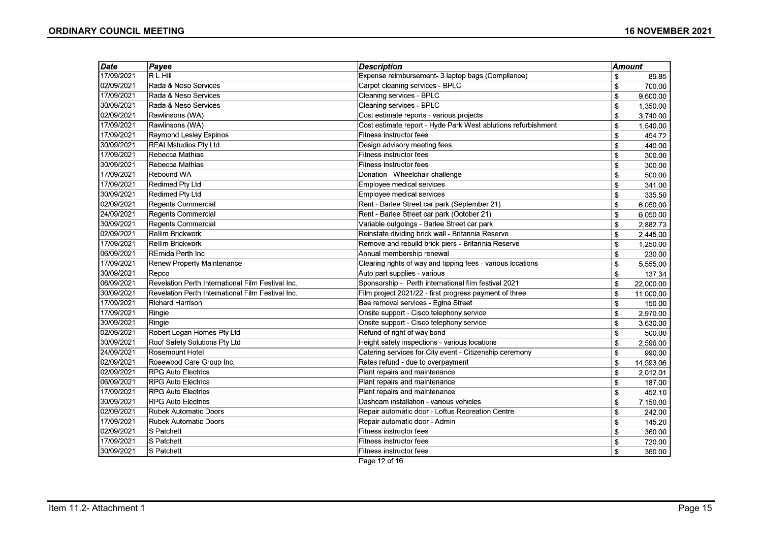| Date       | Payee                                             | <b>Description</b>                                            | Amount |           |
|------------|---------------------------------------------------|---------------------------------------------------------------|--------|-----------|
| 17/09/2021 | <b>RLHill</b>                                     | Expense reimbursement- 3 laptop bags (Compliance)             | \$     | 89.85     |
| 02/09/2021 | Rada & Neso Services                              | Carpet cleaning services - BPLC                               | \$     | 700.00    |
| 17/09/2021 | Rada & Neso Services                              | <b>Cleaning services - BPLC</b>                               | \$     | 9,600.00  |
| 30/09/2021 | Rada & Neso Services                              | Cleaning services - BPLC                                      | \$     | 1,350.00  |
| 02/09/2021 | Rawlinsons (WA)                                   | Cost estimate reports - various projects                      | \$     | 3,740.00  |
| 17/09/2021 | Rawlinsons (WA)                                   | Cost estimate report - Hyde Park West ablutions refurbishment | \$     | 1.540.00  |
| 17/09/2021 | Raymond Lesley Espinos                            | <b>Fitness instructor fees</b>                                | \$     | 454.72    |
| 30/09/2021 | <b>REALMstudios Pty Ltd</b>                       | Design advisory meeting fees                                  | \$     | 440.00    |
| 17/09/2021 | Rebecca Mathias                                   | Fitness instructor fees                                       | \$     | 300.00    |
| 30/09/2021 | Rebecca Mathias                                   | Fitness instructor fees                                       | \$     | 300.00    |
| 17/09/2021 | Rebound WA                                        | Donation - Wheelchair challenge                               | \$     | 500.00    |
| 17/09/2021 | Redimed Pty Ltd                                   | Employee medical services                                     | \$     | 341.00    |
| 30/09/2021 | Redimed Pty Ltd                                   | Employee medical services                                     | \$     | 335.50    |
| 02/09/2021 | <b>Regents Commercial</b>                         | Rent - Barlee Street car park (September 21)                  | \$     | 6,050.00  |
| 24/09/2021 | <b>Regents Commercial</b>                         | Rent - Barlee Street car park (October 21)                    | \$     | 6,050.00  |
| 30/09/2021 | <b>Regents Commercial</b>                         | Variable outgoings - Barlee Street car park                   | \$     | 2,882.73  |
| 02/09/2021 | Rellim Brickwork                                  | Reinstate dividing brick wall - Britannia Reserve             | \$     | 2,445.00  |
| 17/09/2021 | <b>Rellim Brickwork</b>                           | Remove and rebuild brick piers - Britannia Reserve            | \$     | 1,250.00  |
| 06/09/2021 | REmida Perth Inc                                  | Annual membership renewal                                     | \$     | 230.00    |
| 17/09/2021 | Renew Property Maintenance                        | Clearing rights of way and tipping fees - various locations   | \$     | 5,555.00  |
| 30/09/2021 | Repco                                             | Auto part supplies - various                                  | \$     | 137.34    |
| 06/09/2021 | Revelation Perth International Film Festival Inc. | Sponsorship - Perth international film festival 2021          | \$     | 22,000.00 |
| 30/09/2021 | Revelation Perth International Film Festival Inc. | Film project 2021/22 - first progress payment of three        | \$     | 11,000.00 |
| 17/09/2021 | <b>Richard Harrison</b>                           | Bee removal services - Egina Street                           | \$     | 150.00    |
| 17/09/2021 | Ringie                                            | Onsite support - Cisco telephony service                      | \$     | 2,970.00  |
| 30/09/2021 | Ringie                                            | Onsite support - Cisco telephony service                      | \$     | 3,630.00  |
| 02/09/2021 | Robert Logan Homes Pty Ltd                        | Refund of right of way bond                                   | \$     | 500.00    |
| 30/09/2021 | Roof Safety Solutions Pty Ltd                     | Height safety inspections - various locations                 | \$     | 2,596.00  |
| 24/09/2021 | <b>Rosemount Hotel</b>                            | Catering services for City event - Citizenship ceremony       | \$     | 990.00    |
| 02/09/2021 | Rosewood Care Group Inc.                          | Rates refund - due to overpayment                             | \$     | 14,593.06 |
| 02/09/2021 | <b>RPG Auto Electrics</b>                         | Plant repairs and maintenance                                 | \$     | 2,012.01  |
| 06/09/2021 | <b>RPG Auto Electrics</b>                         | Plant repairs and maintenance                                 | \$     | 187.00    |
| 17/09/2021 | <b>RPG Auto Electrics</b>                         | Plant repairs and maintenance                                 | \$     | 452.10    |
| 30/09/2021 | <b>RPG Auto Electrics</b>                         | Dashcam installation - various vehicles                       | \$     | 7,150.00  |
| 02/09/2021 | <b>Rubek Automatic Doors</b>                      | Repair automatic door - Loftus Recreation Centre              | \$     | 242.00    |
| 17/09/2021 | <b>Rubek Automatic Doors</b>                      | Repair automatic door - Admin                                 | \$     | 145.20    |
| 02/09/2021 | S Patchett                                        | Fitness instructor fees                                       | \$     | 360.00    |
| 17/09/2021 | S Patchett                                        | Fitness instructor fees                                       | \$     | 720.00    |
| 30/09/2021 | S Patchett                                        | Fitness instructor fees                                       | \$     | 360.00    |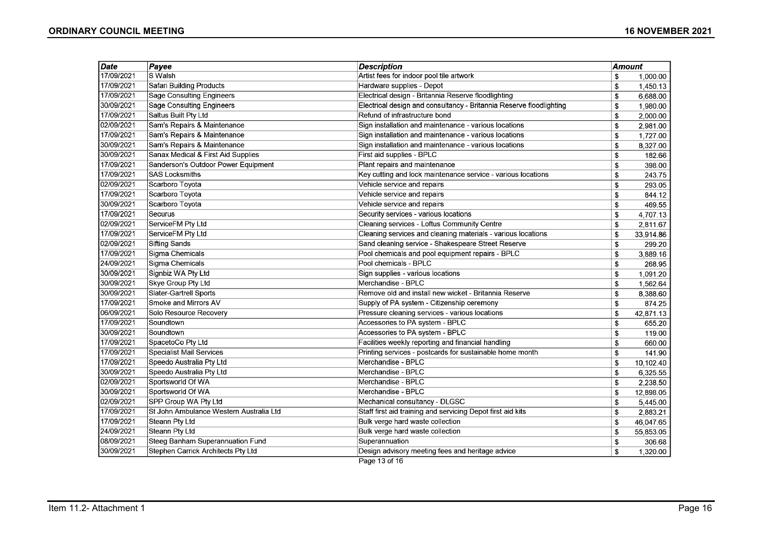| $\overline{Date}$ | Payee                                   | <b>Description</b>                                                  | <b>Amount</b> |           |
|-------------------|-----------------------------------------|---------------------------------------------------------------------|---------------|-----------|
| 17/09/2021        | S Walsh                                 | Artist fees for indoor pool tile artwork                            | \$            | 1,000.00  |
| 17/09/2021        | Safari Building Products                | Hardware supplies - Depot                                           | \$            | 1,450.13  |
| 17/09/2021        | Sage Consulting Engineers               | Electrical design - Britannia Reserve floodlighting                 | \$            | 6,688.00  |
| 30/09/2021        | <b>Sage Consulting Engineers</b>        | Electrical design and consultancy - Britannia Reserve floodlighting | \$            | 1,980.00  |
| 17/09/2021        | Saltus Built Pty Ltd                    | Refund of infrastructure bond                                       | \$            | 2,000.00  |
| 02/09/2021        | Sam's Repairs & Maintenance             | Sign installation and maintenance - various locations               | \$            | 2,981.00  |
| 17/09/2021        | Sam's Repairs & Maintenance             | Sign installation and maintenance - various locations               | \$            | 1,727.00  |
| 30/09/2021        | Sam's Repairs & Maintenance             | Sign installation and maintenance - various locations               | \$            | 8,327.00  |
| 30/09/2021        | Sanax Medical & First Aid Supplies      | First aid supplies - BPLC                                           | \$            | 182.66    |
| 17/09/2021        | Sanderson's Outdoor Power Equipment     | Plant repairs and maintenance                                       | \$            | 398.00    |
| 17/09/2021        | <b>SAS Locksmiths</b>                   | Key cutting and lock maintenance service - various locations        | \$            | 243.75    |
| 02/09/2021        | Scarboro Toyota                         | Vehicle service and repairs                                         | \$            | 293.05    |
| 17/09/2021        | Scarboro Toyota                         | Vehicle service and repairs                                         | \$            | 844.12    |
| 30/09/2021        | Scarboro Toyota                         | Vehicle service and repairs                                         | \$            | 469.55    |
| 17/09/2021        | Securus                                 | Security services - various locations                               | \$            | 4,707.13  |
| 02/09/2021        | ServiceFM Pty Ltd                       | Cleaning services - Loftus Community Centre                         | \$            | 2,811.67  |
| 17/09/2021        | ServiceFM Pty Ltd                       | Cleaning services and cleaning materials - various locations        | \$            | 33,914.86 |
| 02/09/2021        | <b>Sifting Sands</b>                    | Sand cleaning service - Shakespeare Street Reserve                  | \$            | 299.20    |
| 17/09/2021        | Sigma Chemicals                         | Pool chemicals and pool equipment repairs - BPLC                    | \$            | 3,889.16  |
| 24/09/2021        | Sigma Chemicals                         | Pool chemicals - BPLC                                               | \$            | 268.95    |
| 30/09/2021        | Signbiz WA Pty Ltd                      | Sign supplies - various locations                                   | \$            | 1,091.20  |
| 30/09/2021        | Skye Group Pty Ltd                      | Merchandise - BPLC                                                  | \$            | 1,562.64  |
| 30/09/2021        | Slater-Gartrell Sports                  | Remove old and install new wicket - Britannia Reserve               | \$            | 8,388.60  |
| 17/09/2021        | Smoke and Mirrors AV                    | Supply of PA system - Citizenship ceremony                          | \$            | 874.25    |
| 06/09/2021        | Solo Resource Recovery                  | Pressure cleaning services - various locations                      | \$            | 42,871.13 |
| 17/09/2021        | Soundtown                               | Accessories to PA system - BPLC                                     | \$            | 655.20    |
| 30/09/2021        | Soundtown                               | Accessories to PA system - BPLC                                     | \$            | 119.00    |
| 17/09/2021        | SpacetoCo Pty Ltd                       | Facilities weekly reporting and financial handling                  | \$            | 660.00    |
| 17/09/2021        | <b>Specialist Mail Services</b>         | Printing services - postcards for sustainable home month            | \$            | 141.90    |
| 17/09/2021        | Speedo Australia Pty Ltd                | Merchandise - BPLC                                                  | \$            | 10,102.40 |
| 30/09/2021        | Speedo Australia Pty Ltd                | Merchandise - BPLC                                                  | \$            | 6,325.55  |
| 02/09/2021        | Sportsworld Of WA                       | Merchandise - BPLC                                                  | \$            | 2,238.50  |
| 30/09/2021        | Sportsworld Of WA                       | Merchandise - BPLC                                                  | \$            | 12,898.05 |
| 02/09/2021        | SPP Group WA Pty Ltd                    | Mechanical consultancy - DLGSC                                      | \$            | 5,445.00  |
| 17/09/2021        | St John Ambulance Western Australia Ltd | Staff first aid training and servicing Depot first aid kits         | \$            | 2,883.21  |
| 17/09/2021        | <b>Steann Pty Ltd</b>                   | Bulk verge hard waste collection                                    | \$            | 46,047.65 |
| 24/09/2021        | Steann Pty Ltd                          | Bulk verge hard waste collection                                    | \$            | 55,853.05 |
| 08/09/2021        | Steeg Banham Superannuation Fund        | Superannuation                                                      | \$            | 306.68    |
| 30/09/2021        | Stephen Carrick Architects Pty Ltd      | Design advisory meeting fees and heritage advice                    | \$            | 1,320.00  |
|                   |                                         | Page 13 of 16                                                       |               |           |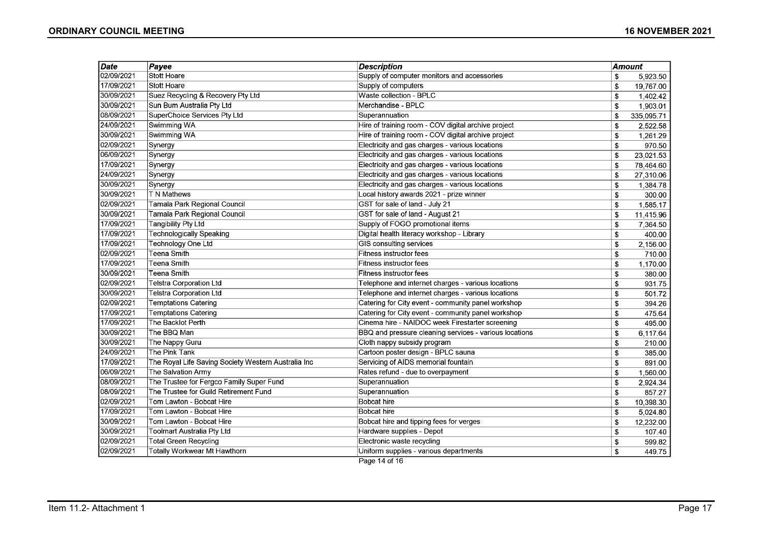| Date       | Payee                                               | <b>Description</b>                                     | <b>Amount</b> |            |
|------------|-----------------------------------------------------|--------------------------------------------------------|---------------|------------|
| 02/09/2021 | Stott Hoare                                         | Supply of computer monitors and accessories            | \$            | 5,923.50   |
| 17/09/2021 | Stott Hoare                                         | Supply of computers                                    | \$            | 19,767.00  |
| 30/09/2021 | Suez Recycling & Recovery Pty Ltd                   | Waste collection - BPLC                                | \$            | 1,402.42   |
| 30/09/2021 | Sun Bum Australia Pty Ltd                           | Merchandise - BPLC                                     | \$            | 1,903.01   |
| 08/09/2021 | SuperChoice Services Pty Ltd                        | Superannuation                                         | \$            | 335,095.71 |
| 24/09/2021 | Swimming WA                                         | Hire of training room - COV digital archive project    | \$            | 2,522.58   |
| 30/09/2021 | Swimming WA                                         | Hire of training room - COV digital archive project    | \$            | 1,261.29   |
| 02/09/2021 | Synergy                                             | Electricity and gas charges - various locations        | \$            | 970.50     |
| 06/09/2021 | Synergy                                             | Electricity and gas charges - various locations        | $\sqrt{3}$    | 23,021.53  |
| 17/09/2021 | Synergy                                             | Electricity and gas charges - various locations        | \$            | 78,464.60  |
| 24/09/2021 | Synergy                                             | Electricity and gas charges - various locations        | \$            | 27,310.06  |
| 30/09/2021 | Synergy                                             | Electricity and gas charges - various locations        | \$            | 1,384.78   |
| 30/09/2021 | T N Mathews                                         | Local history awards 2021 - prize winner               | \$            | 300.00     |
| 02/09/2021 | Tamala Park Regional Council                        | GST for sale of land - July 21                         | \$            | 1,585.17   |
| 30/09/2021 | Tamala Park Regional Council                        | GST for sale of land - August 21                       | \$            | 11,415.96  |
| 17/09/2021 | Tangibility Pty Ltd                                 | Supply of FOGO promotional items                       | \$            | 7,364.50   |
| 17/09/2021 | Technologically Speaking                            | Digital health literacy workshop - Library             | \$            | 400.00     |
| 17/09/2021 | Technology One Ltd                                  | GIS consulting services                                | \$            | 2,156.00   |
| 02/09/2021 | Teena Smith                                         | Fitness instructor fees                                | \$            | 710.00     |
| 17/09/2021 | Teena Smith                                         | Fitness instructor fees                                | \$            | 1,170.00   |
| 30/09/2021 | Teena Smith                                         | <b>Fitness instructor fees</b>                         | \$            | 380.00     |
| 02/09/2021 | Telstra Corporation Ltd                             | Telephone and internet charges - various locations     | \$            | 931.75     |
| 30/09/2021 | <b>Telstra Corporation Ltd</b>                      | Telephone and internet charges - various locations     | \$            | 501.72     |
| 02/09/2021 | <b>Temptations Catering</b>                         | Catering for City event - community panel workshop     | \$            | 394.26     |
| 17/09/2021 | <b>Temptations Catering</b>                         | Catering for City event - community panel workshop     | \$            | 475.64     |
| 17/09/2021 | The Backlot Perth                                   | Cinema hire - NAIDOC week Firestarter screening        | \$            | 495.00     |
| 30/09/2021 | The BBQ Man                                         | BBQ and pressure cleaning services - various locations | \$            | 6,117.64   |
| 30/09/2021 | The Nappy Guru                                      | Cloth nappy subsidy program                            | \$            | 210.00     |
| 24/09/2021 | The Pink Tank                                       | Cartoon poster design - BPLC sauna                     | \$            | 385.00     |
| 17/09/2021 | The Royal Life Saving Society Western Australia Inc | Servicing of AIDS memorial fountain                    | \$            | 891.00     |
| 06/09/2021 | The Salvation Army                                  | Rates refund - due to overpayment                      | \$            | 1,560.00   |
| 08/09/2021 | The Trustee for Fergco Family Super Fund            | Superannuation                                         | \$            | 2,924.34   |
| 08/09/2021 | The Trustee for Guild Retirement Fund               | Superannuation                                         | \$            | 857.27     |
| 02/09/2021 | Tom Lawton - Bobcat Hire                            | <b>Bobcat hire</b>                                     | \$            | 10,398.30  |
| 17/09/2021 | Tom Lawton - Bobcat Hire                            | <b>Bobcat hire</b>                                     | \$            | 5,024.80   |
| 30/09/2021 | Tom Lawton - Bobcat Hire                            | Bobcat hire and tipping fees for verges                | \$            | 12,232.00  |
| 30/09/2021 | <b>Toolmart Australia Pty Ltd</b>                   | Hardware supplies - Depot                              | \$            | 107.40     |
| 02/09/2021 | <b>Total Green Recycling</b>                        | Electronic waste recycling                             | \$            | 599.82     |
| 02/09/2021 | Totally Workwear Mt Hawthorn                        | Uniform supplies - various departments                 | \$            | 449.75     |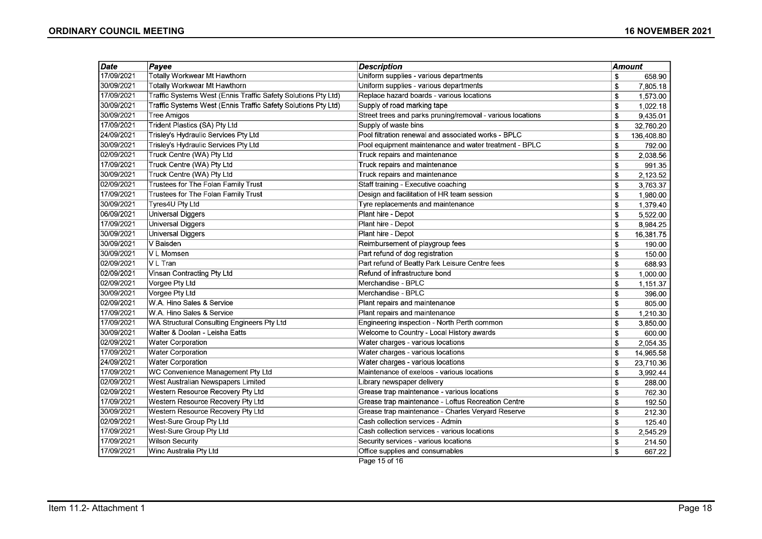| Date       | Payee                                                         | <b>Description</b>                                         | <b>Amount</b> |            |
|------------|---------------------------------------------------------------|------------------------------------------------------------|---------------|------------|
| 17/09/2021 | <b>Totally Workwear Mt Hawthorn</b>                           | Uniform supplies - various departments                     | \$            | 658.90     |
| 30/09/2021 | Totally Workwear Mt Hawthorn                                  | Uniform supplies - various departments                     | \$            | 7,805.18   |
| 17/09/2021 | Traffic Systems West (Ennis Traffic Safety Solutions Pty Ltd) | Replace hazard boards - various locations                  | \$            | 1,573.00   |
| 30/09/2021 | Traffic Systems West (Ennis Traffic Safety Solutions Pty Ltd) | Supply of road marking tape                                | \$            | 1,022.18   |
| 30/09/2021 | Tree Amigos                                                   | Street trees and parks pruning/removal - various locations | \$            | 9,435.01   |
| 17/09/2021 | Trident Plastics (SA) Pty Ltd                                 | Supply of waste bins                                       | \$            | 32,760.20  |
| 24/09/2021 | Trisley's Hydraulic Services Pty Ltd                          | Pool filtration renewal and associated works - BPLC        | \$            | 136,408.80 |
| 30/09/2021 | Trisley's Hydraulic Services Pty Ltd                          | Pool equipment maintenance and water treatment - BPLC      | \$            | 792.00     |
| 02/09/2021 | Truck Centre (WA) Pty Ltd                                     | Truck repairs and maintenance                              | \$            | 2,038.56   |
| 17/09/2021 | Truck Centre (WA) Pty Ltd                                     | Truck repairs and maintenance                              | \$            | 991.35     |
| 30/09/2021 | Truck Centre (WA) Pty Ltd                                     | Truck repairs and maintenance                              | \$            | 2,123.52   |
| 02/09/2021 | Trustees for The Folan Family Trust                           | Staff training - Executive coaching                        | \$            | 3,763.37   |
| 17/09/2021 | Trustees for The Folan Family Trust                           | Design and facilitation of HR team session                 | \$            | 1,980.00   |
| 30/09/2021 | Tyres4U Pty Ltd                                               | Tyre replacements and maintenance                          | \$            | 1,379.40   |
| 06/09/2021 | <b>Universal Diggers</b>                                      | Plant hire - Depot                                         | \$            | 5,522.00   |
| 17/09/2021 | Universal Diggers                                             | Plant hire - Depot                                         | \$            | 8,984.25   |
| 30/09/2021 | Universal Diggers                                             | Plant hire - Depot                                         | \$            | 16,381.75  |
| 30/09/2021 | ∣V Baisden                                                    | Reimbursement of playgroup fees                            | \$            | 190.00     |
| 30/09/2021 | V L Momsen                                                    | Part refund of dog registration                            | \$            | 150.00     |
| 02/09/2021 | VL Tran                                                       | Part refund of Beatty Park Leisure Centre fees             | \$            | 688.93     |
| 02/09/2021 | Vinsan Contracting Pty Ltd                                    | Refund of infrastructure bond                              | \$            | 1,000.00   |
| 02/09/2021 | Vorgee Pty Ltd                                                | Merchandise - BPLC                                         | \$            | 1,151.37   |
| 30/09/2021 | Vorgee Pty Ltd                                                | Merchandise - BPLC                                         | \$            | 396.00     |
| 02/09/2021 | W.A. Hino Sales & Service                                     | Plant repairs and maintenance                              | \$            | 805.00     |
| 17/09/2021 | W.A. Hino Sales & Service                                     | Plant repairs and maintenance                              | \$            | 1,210.30   |
| 17/09/2021 | WA Structural Consulting Engineers Pty Ltd                    | Engineering inspection - North Perth common                | \$            | 3,850.00   |
| 30/09/2021 | Walter & Doolan - Leisha Eatts                                | Welcome to Country - Local History awards                  | \$            | 600.00     |
| 02/09/2021 | <b>Water Corporation</b>                                      | Water charges - various locations                          | \$            | 2,054.35   |
| 17/09/2021 | <b>Water Corporation</b>                                      | Water charges - various locations                          | \$            | 14,965.58  |
| 24/09/2021 | <b>Water Corporation</b>                                      | Water charges - various locations                          | \$            | 23,710.36  |
| 17/09/2021 | WC Convenience Management Pty Ltd                             | Maintenance of exeloos - various locations                 | \$            | 3,992.44   |
| 02/09/2021 | West Australian Newspapers Limited                            | Library newspaper delivery                                 | \$            | 288.00     |
| 02/09/2021 | Western Resource Recovery Pty Ltd                             | Grease trap maintenance - various locations                | \$            | 762.30     |
| 17/09/2021 | Western Resource Recovery Pty Ltd                             | Grease trap maintenance - Loftus Recreation Centre         | \$            | 192.50     |
| 30/09/2021 | Western Resource Recovery Pty Ltd                             | Grease trap maintenance - Charles Veryard Reserve          | $\sqrt{3}$    | 212.30     |
| 02/09/2021 | West-Sure Group Pty Ltd                                       | Cash collection services - Admin                           | \$            | 125.40     |
| 17/09/2021 | West-Sure Group Pty Ltd                                       | Cash collection services - various locations               | \$            | 2,545.29   |
| 17/09/2021 | Wilson Security                                               | Security services - various locations                      | \$            | 214.50     |
| 17/09/2021 | Winc Australia Pty Ltd                                        | Office supplies and consumables                            | \$            | 667.22     |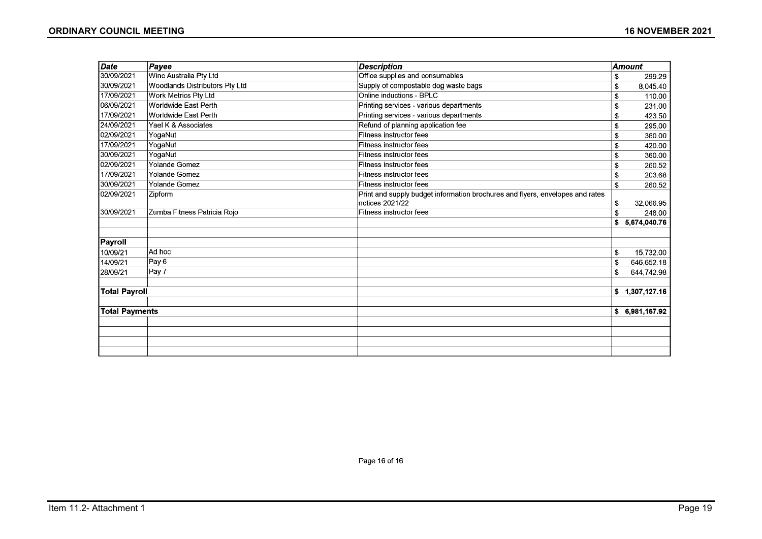| Date                  | Payee                                 | <b>Description</b>                                                            |    | <b>Amount</b>  |
|-----------------------|---------------------------------------|-------------------------------------------------------------------------------|----|----------------|
| 30/09/2021            | Winc Australia Pty Ltd                | Office supplies and consumables                                               | \$ | 299.29         |
| 30/09/2021            | <b>Woodlands Distributors Pty Ltd</b> | Supply of compostable dog waste bags                                          | \$ | 8,045.40       |
| 17/09/2021            | <b>Work Metrics Pty Ltd</b>           | Online inductions - BPLC                                                      | \$ | 110.00         |
| 06/09/2021            | Worldwide East Perth                  | Printing services - various departments                                       | S  | 231.00         |
| 17/09/2021            | Worldwide East Perth                  | Printing services - various departments                                       | \$ | 423.50         |
| 24/09/2021            | Yael K & Associates                   | Refund of planning application fee                                            | \$ | 295.00         |
| 02/09/2021            | YogaNut                               | Fitness instructor fees                                                       | S  | 360.00         |
| 17/09/2021            | YogaNut                               | Fitness instructor fees                                                       | \$ | 420.00         |
| 30/09/2021            | YogaNut                               | <b>Fitness instructor fees</b>                                                | \$ | 360.00         |
| 02/09/2021            | Yolande Gomez                         | <b>Fitness instructor fees</b>                                                | \$ | 260.52         |
| 17/09/2021            | <b>Yolande Gomez</b>                  | Fitness instructor fees                                                       | \$ | 203.68         |
| 30/09/2021            | <b>Yolande Gomez</b>                  | Fitness instructor fees                                                       | \$ | 260.52         |
| 02/09/2021            | Zipform                               | Print and supply budget information brochures and flyers, envelopes and rates |    |                |
|                       |                                       | notices 2021/22                                                               | \$ | 32,066.95      |
| 30/09/2021            | Zumba Fitness Patricia Roio           | Fitness instructor fees                                                       | \$ | 248.00         |
|                       |                                       |                                                                               | S  | 5.674.040.76   |
| Payroll               |                                       |                                                                               |    |                |
| 10/09/21              | Ad hoc                                |                                                                               | \$ | 15,732.00      |
| 14/09/21              | Pay <sub>6</sub>                      |                                                                               | £  | 646,652.18     |
| 28/09/21              | Pay 7                                 |                                                                               | \$ | 644,742.98     |
| <b>Total Payroll</b>  |                                       |                                                                               |    | \$1,307,127.16 |
|                       |                                       |                                                                               |    |                |
| <b>Total Payments</b> |                                       |                                                                               | \$ | 6,981,167.92   |
|                       |                                       |                                                                               |    |                |
|                       |                                       |                                                                               |    |                |
|                       |                                       |                                                                               |    |                |
|                       |                                       |                                                                               |    |                |

Page 16 of 16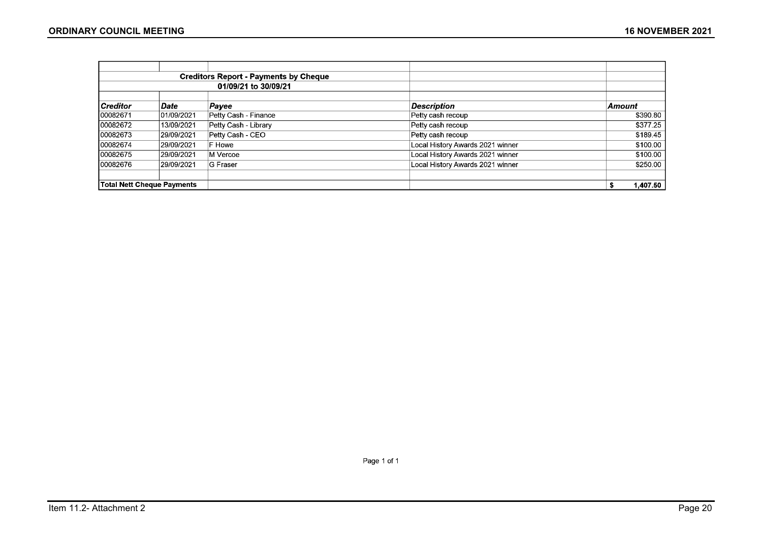|                 |                                   | <b>Creditors Report - Payments by Cheque</b> |                                  |               |
|-----------------|-----------------------------------|----------------------------------------------|----------------------------------|---------------|
|                 |                                   | 01/09/21 to 30/09/21                         |                                  |               |
| <b>Creditor</b> | Date                              | Payee                                        | <b>Description</b>               | <b>Amount</b> |
| 00082671        | 101/09/2021                       | Petty Cash - Finance                         | Petty cash recoup                | \$390.80      |
| 00082672        | 13/09/2021                        | Petty Cash - Library                         | Petty cash recoup                | \$377.25      |
| 00082673        | 29/09/2021                        | Petty Cash - CEO                             | Petty cash recoup                | \$189.45      |
| 00082674        | 29/09/2021                        | F Howe                                       | Local History Awards 2021 winner | \$100.00      |
| 00082675        | 29/09/2021                        | M Vercoe                                     | Local History Awards 2021 winner | \$100.00      |
| 00082676        | 29/09/2021                        | G Fraser                                     | Local History Awards 2021 winner | \$250.00      |
|                 | <b>Total Nett Cheque Payments</b> |                                              |                                  | 1,407.50      |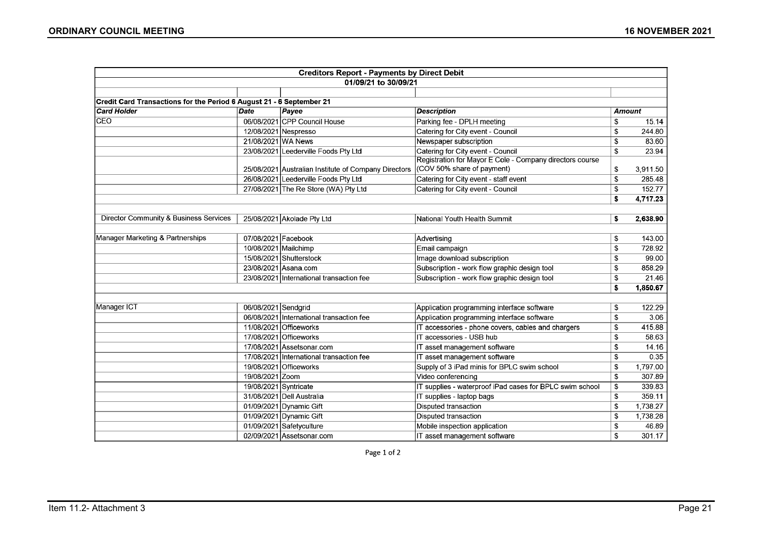|                                                                      |                            | <b>Creditors Report - Payments by Direct Debit</b>   |                                                          |    |               |
|----------------------------------------------------------------------|----------------------------|------------------------------------------------------|----------------------------------------------------------|----|---------------|
|                                                                      |                            | 01/09/21 to 30/09/21                                 |                                                          |    |               |
|                                                                      |                            |                                                      |                                                          |    |               |
| Credit Card Transactions for the Period 6 August 21 - 6 September 21 |                            |                                                      |                                                          |    |               |
| <b>Card Holder</b>                                                   | $\overline{\textit{Date}}$ | Payee                                                | <b>Description</b>                                       |    | <b>Amount</b> |
| <b>CEO</b>                                                           |                            | 06/08/2021 CPP Council House                         | Parking fee - DPLH meeting                               | S  | 15.14         |
|                                                                      |                            | 12/08/2021 Nespresso                                 | Catering for City event - Council                        | \$ | 244.80        |
|                                                                      | 21/08/2021 WA News         |                                                      | Newspaper subscription                                   | \$ | 83.60         |
|                                                                      |                            | 23/08/2021 Leederville Foods Pty Ltd                 | Catering for City event - Council                        | S  | 23.94         |
|                                                                      |                            |                                                      | Registration for Mayor E Cole - Company directors course |    |               |
|                                                                      |                            | 25/08/2021 Australian Institute of Company Directors | (COV 50% share of payment)                               | \$ | 3,911.50      |
|                                                                      |                            | 26/08/2021 Leederville Foods Pty Ltd                 | Catering for City event - staff event                    | \$ | 285.48        |
|                                                                      |                            | 27/08/2021 The Re Store (WA) Pty Ltd                 | Catering for City event - Council                        | \$ | 152.77        |
|                                                                      |                            |                                                      |                                                          | \$ | 4,717.23      |
|                                                                      |                            |                                                      |                                                          |    |               |
| Director Community & Business Services                               |                            | 25/08/2021 Akolade Pty Ltd                           | National Youth Health Summit                             | \$ | 2,638.90      |
|                                                                      |                            |                                                      |                                                          |    |               |
| Manager Marketing & Partnerships                                     | 07/08/2021 Facebook        |                                                      | Advertising                                              | \$ | 143.00        |
|                                                                      | 10/08/2021 Mailchimp       |                                                      | Email campaign                                           | \$ | 728.92        |
|                                                                      |                            | 15/08/2021 Shutterstock                              | Image download subscription                              | S  | 99.00         |
|                                                                      |                            | 23/08/2021 Asana.com                                 | Subscription - work flow graphic design tool             | \$ | 858.29        |
|                                                                      |                            | 23/08/2021 International transaction fee             | Subscription - work flow graphic design tool             | \$ | 21.46         |
|                                                                      |                            |                                                      |                                                          | \$ | 1,850.67      |
|                                                                      |                            |                                                      |                                                          |    |               |
| Manager ICT                                                          | 06/08/2021 Sendarid        |                                                      | Application programming interface software               | \$ | 122.29        |
|                                                                      |                            | 06/08/2021 International transaction fee             | Application programming interface software               | \$ | 3.06          |
|                                                                      |                            | 11/08/2021 Officeworks                               | IT accessories - phone covers, cables and chargers       | \$ | 415.88        |
|                                                                      |                            | 17/08/2021 Officeworks                               | IT accessories - USB hub                                 | \$ | 58.63         |
|                                                                      |                            | 17/08/2021 Assetsonar.com                            | IT asset management software                             | \$ | 14.16         |
|                                                                      |                            | 17/08/2021 International transaction fee             | IT asset management software                             | \$ | 0.35          |
|                                                                      |                            | 19/08/2021 Officeworks                               | Supply of 3 iPad minis for BPLC swim school              | s. | 1,797.00      |
|                                                                      | 19/08/2021 Zoom            |                                                      | Video conferencing                                       | \$ | 307.89        |
|                                                                      | 19/08/2021 Syntricate      |                                                      | IT supplies - waterproof iPad cases for BPLC swim school | \$ | 339.83        |
|                                                                      |                            | 31/08/2021 Dell Australia                            | IT supplies - laptop bags                                | £. | 359.11        |
|                                                                      |                            | 01/09/2021 Dynamic Gift                              | <b>Disputed transaction</b>                              | \$ | 1,738.27      |
|                                                                      |                            | 01/09/2021 Dynamic Gift                              | <b>Disputed transaction</b>                              | S. | 1,738.28      |
|                                                                      |                            | 01/09/2021 Safetyculture                             | Mobile inspection application                            | \$ | 46.89         |
|                                                                      |                            | 02/09/2021 Assetsonar.com                            | IT asset management software                             | £. | 301.17        |

Page 1 of 2